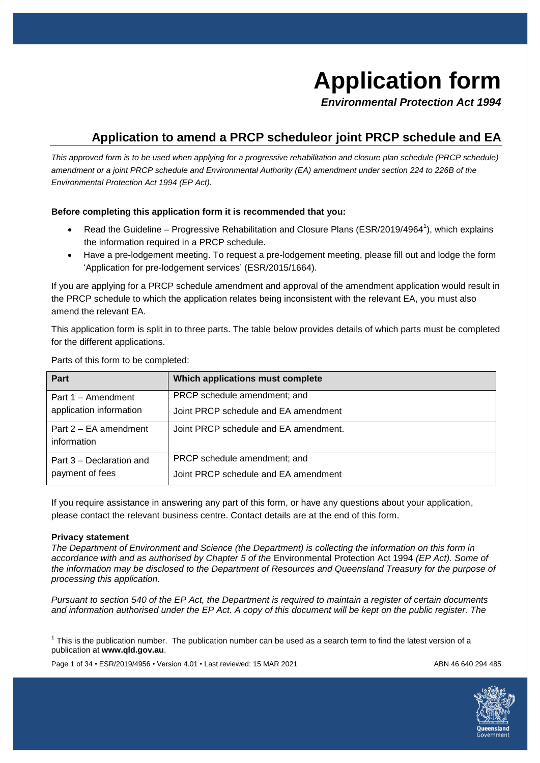# **Application form**

*Environmental Protection Act 1994*

# **Application to amend a PRCP scheduleor joint PRCP schedule and EA**

*This approved form is to be used when applying for a progressive rehabilitation and closure plan schedule (PRCP schedule) amendment or a joint PRCP schedule and Environmental Authority (EA) amendment under section 224 to 226B of the Environmental Protection Act 1994 (EP Act).*

#### **Before completing this application form it is recommended that you:**

- Read the Guideline Progressive Rehabilitation and Closure Plans (ESR/2019/4964<sup>1</sup>), which explains the information required in a PRCP schedule.
- Have a pre-lodgement meeting. To request a pre-lodgement meeting, please fill out and lodge the form 'Application for pre-lodgement services' (ESR/2015/1664).

If you are applying for a PRCP schedule amendment and approval of the amendment application would result in the PRCP schedule to which the application relates being inconsistent with the relevant EA, you must also amend the relevant EA.

This application form is split in to three parts. The table below provides details of which parts must be completed for the different applications.

| Part                                 | Which applications must complete      |
|--------------------------------------|---------------------------------------|
| Part 1 – Amendment                   | PRCP schedule amendment; and          |
| application information              | Joint PRCP schedule and EA amendment  |
| Part 2 – EA amendment<br>information | Joint PRCP schedule and EA amendment. |
| Part 3 – Declaration and             | PRCP schedule amendment; and          |
| payment of fees                      | Joint PRCP schedule and EA amendment  |

Parts of this form to be completed:

If you require assistance in answering any part of this form, or have any questions about your application, please contact the relevant business centre. Contact details are at the end of this form.

#### **Privacy statement**

*The Department of Environment and Science (the Department) is collecting the information on this form in accordance with and as authorised by Chapter 5 of the* Environmental Protection Act 1994 *(EP Act). Some of the information may be disclosed to the Department of Resources and Queensland Treasury for the purpose of processing this application.*

*Pursuant to section 540 of the EP Act, the Department is required to maintain a register of certain documents and information authorised under the EP Act. A copy of this document will be kept on the public register. The* 

Page 1 of 34 • ESR/2019/4956 • Version 4.01 • Last reviewed: 15 MAR 2021 ABO ABO 46 640 294 485



 1 This is the publication number. The publication number can be used as a search term to find the latest version of a publication at **www.qld.gov.au**.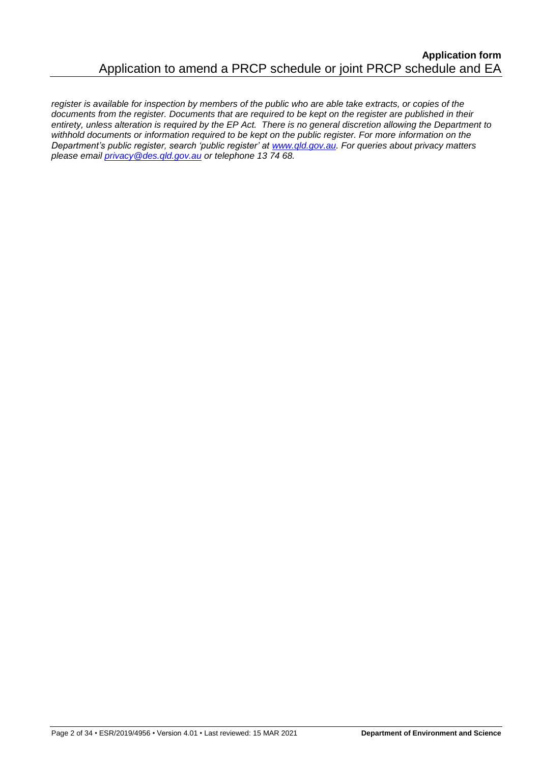*register is available for inspection by members of the public who are able take extracts, or copies of the documents from the register. Documents that are required to be kept on the register are published in their entirety, unless alteration is required by the EP Act. There is no general discretion allowing the Department to withhold documents or information required to be kept on the public register. For more information on the Department's public register, search 'public register' at [www.qld.gov.au.](http://www.qld.gov.au/) For queries about privacy matters please email [privacy@des.qld.gov.au](mailto:privacy@des.qld.gov.au) or telephone 13 74 68.*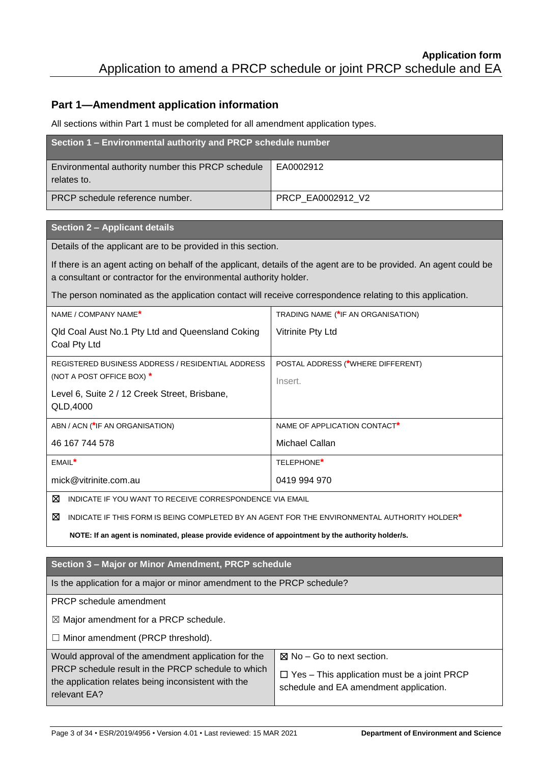## **Part 1—Amendment application information**

All sections within Part 1 must be completed for all amendment application types.

| Section 1 – Environmental authority and PRCP schedule number     |                   |  |
|------------------------------------------------------------------|-------------------|--|
| Environmental authority number this PRCP schedule<br>relates to. | EA0002912         |  |
| PRCP schedule reference number.                                  | PRCP EA0002912 V2 |  |

#### **Section 2 – Applicant details**

Details of the applicant are to be provided in this section.

If there is an agent acting on behalf of the applicant, details of the agent are to be provided. An agent could be a consultant or contractor for the environmental authority holder.

The person nominated as the application contact will receive correspondence relating to this application.

| NAME / COMPANY NAME*                                             | TRADING NAME (*IF AN ORGANISATION) |
|------------------------------------------------------------------|------------------------------------|
| Qld Coal Aust No.1 Pty Ltd and Queensland Coking<br>Coal Pty Ltd | Vitrinite Pty Ltd                  |
| REGISTERED BUSINESS ADDRESS / RESIDENTIAL ADDRESS                | POSTAL ADDRESS (*WHERE DIFFERENT)  |
| (NOT A POST OFFICE BOX) *                                        | Insert.                            |
| Level 6, Suite 2 / 12 Creek Street, Brisbane,                    |                                    |
| QLD,4000                                                         |                                    |
| ABN / ACN (*IF AN ORGANISATION)                                  | NAME OF APPLICATION CONTACT*       |
| 46 167 744 578                                                   | Michael Callan                     |
| $EMAIL^*$                                                        | TELEPHONE <sup>*</sup>             |
| mick@vitrinite.com.au                                            | 0419 994 970                       |

☒ INDICATE IF YOU WANT TO RECEIVE CORRESPONDENCE VIA EMAIL

☒ INDICATE IF THIS FORM IS BEING COMPLETED BY AN AGENT FOR THE ENVIRONMENTAL AUTHORITY HOLDER**\***

**NOTE: If an agent is nominated, please provide evidence of appointment by the authority holder/s.**

| Section 3 - Major or Minor Amendment, PRCP schedule                                                                       |                                                                                              |  |  |
|---------------------------------------------------------------------------------------------------------------------------|----------------------------------------------------------------------------------------------|--|--|
| Is the application for a major or minor amendment to the PRCP schedule?                                                   |                                                                                              |  |  |
| <b>PRCP</b> schedule amendment                                                                                            |                                                                                              |  |  |
| $\boxtimes$ Major amendment for a PRCP schedule.                                                                          |                                                                                              |  |  |
| $\Box$ Minor amendment (PRCP threshold).                                                                                  |                                                                                              |  |  |
| Would approval of the amendment application for the                                                                       | $\boxtimes$ No – Go to next section.                                                         |  |  |
| PRCP schedule result in the PRCP schedule to which<br>the application relates being inconsistent with the<br>relevant EA? | $\Box$ Yes - This application must be a joint PRCP<br>schedule and EA amendment application. |  |  |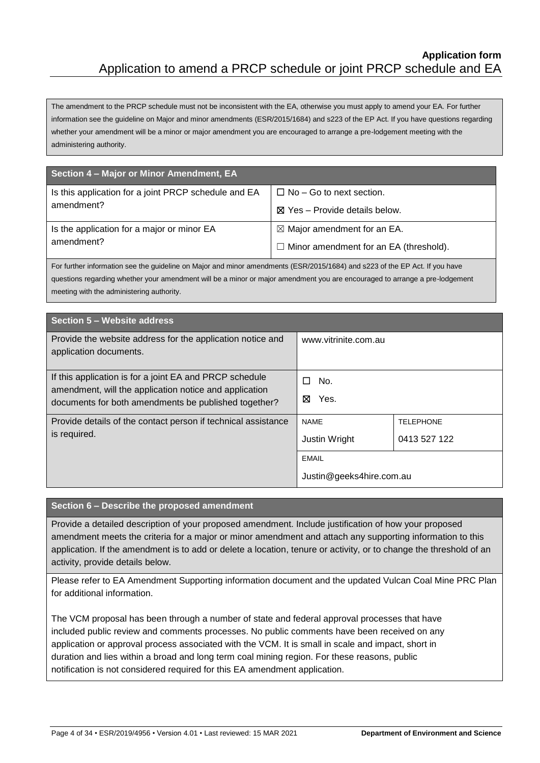The amendment to the PRCP schedule must not be inconsistent with the EA, otherwise you must apply to amend your EA. For further information see the guideline on Major and minor amendments (ESR/2015/1684) and s223 of the EP Act. If you have questions regarding whether your amendment will be a minor or major amendment you are encouraged to arrange a pre-lodgement meeting with the administering authority.

| Section 4 - Major or Minor Amendment, EA                           |                                               |  |
|--------------------------------------------------------------------|-----------------------------------------------|--|
| Is this application for a joint PRCP schedule and EA<br>amendment? | $\Box$ No – Go to next section.               |  |
|                                                                    | $\boxtimes$ Yes – Provide details below.      |  |
| Is the application for a major or minor EA<br>amendment?           | $\boxtimes$ Major amendment for an EA.        |  |
|                                                                    | $\Box$ Minor amendment for an EA (threshold). |  |

For further information see the guideline on Major and minor amendments (ESR/2015/1684) and s223 of the EP Act. If you have questions regarding whether your amendment will be a minor or major amendment you are encouraged to arrange a pre-lodgement meeting with the administering authority.

| Section 5 - Website address                                                                                                                                               |                                                                  |  |
|---------------------------------------------------------------------------------------------------------------------------------------------------------------------------|------------------------------------------------------------------|--|
| Provide the website address for the application notice and<br>application documents.                                                                                      | www.vitrinite.com.au                                             |  |
| If this application is for a joint EA and PRCP schedule<br>amendment, will the application notice and application<br>documents for both amendments be published together? | No.<br>Yes.<br>⊠                                                 |  |
| Provide details of the contact person if technical assistance<br>is required.                                                                                             | <b>NAME</b><br><b>TELEPHONE</b><br>Justin Wright<br>0413 527 122 |  |
|                                                                                                                                                                           | <b>EMAIL</b><br>Justin@geeks4hire.com.au                         |  |

#### **Section 6 – Describe the proposed amendment**

Provide a detailed description of your proposed amendment. Include justification of how your proposed amendment meets the criteria for a major or minor amendment and attach any supporting information to this application. If the amendment is to add or delete a location, tenure or activity, or to change the threshold of an activity, provide details below.

Please refer to EA Amendment Supporting information document and the updated Vulcan Coal Mine PRC Plan for additional information.

The VCM proposal has been through a number of state and federal approval processes that have included public review and comments processes. No public comments have been received on any application or approval process associated with the VCM. It is small in scale and impact, short in duration and lies within a broad and long term coal mining region. For these reasons, public notification is not considered required for this EA amendment application.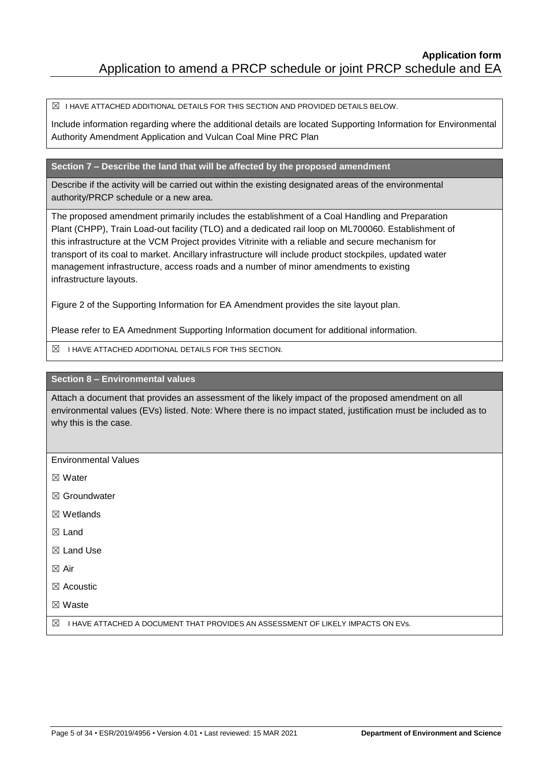$\boxtimes$  I HAVE ATTACHED ADDITIONAL DETAILS FOR THIS SECTION AND PROVIDED DETAILS BELOW.

Include information regarding where the additional details are located Supporting Information for Environmental Authority Amendment Application and Vulcan Coal Mine PRC Plan

**Section 7 – Describe the land that will be affected by the proposed amendment** 

Describe if the activity will be carried out within the existing designated areas of the environmental authority/PRCP schedule or a new area.

The proposed amendment primarily includes the establishment of a Coal Handling and Preparation Plant (CHPP), Train Load-out facility (TLO) and a dedicated rail loop on ML700060. Establishment of this infrastructure at the VCM Project provides Vitrinite with a reliable and secure mechanism for transport of its coal to market. Ancillary infrastructure will include product stockpiles, updated water management infrastructure, access roads and a number of minor amendments to existing infrastructure layouts.

Figure 2 of the Supporting Information for EA Amendment provides the site layout plan.

Please refer to EA Amednment Supporting Information document for additional information.

 $\boxtimes$  I HAVE ATTACHED ADDITIONAL DETAILS FOR THIS SECTION.

**Section 8 – Environmental values** 

Attach a document that provides an assessment of the likely impact of the proposed amendment on all environmental values (EVs) listed. Note: Where there is no impact stated, justification must be included as to why this is the case.

- Environmental Values
- ☒ Water
- ☒ Groundwater
- ☒ Wetlands
- ☒ Land
- ☒ Land Use
- ☒ Air
- ☒ Acoustic
- ☒ Waste

 $\boxtimes$  I HAVE ATTACHED A DOCUMENT THAT PROVIDES AN ASSESSMENT OF LIKELY IMPACTS ON EVs.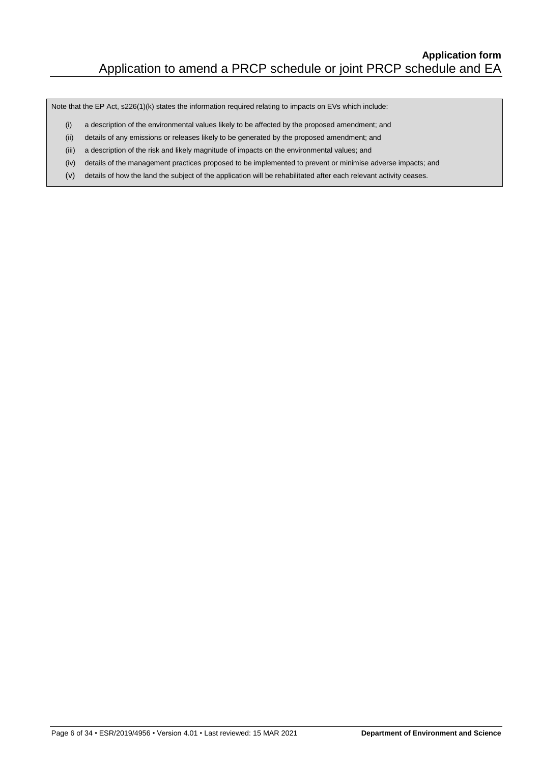Note that the EP Act, s226(1)(k) states the information required relating to impacts on EVs which include:

- (i) a description of the environmental values likely to be affected by the proposed amendment; and
- (ii) details of any emissions or releases likely to be generated by the proposed amendment; and (iii) a description of the risk and likely magnitude of impacts on the environmental values; and
- (iv) details of the management practices proposed to be implemented to prevent or minimise adverse impacts; and
- (v) details of how the land the subject of the application will be rehabilitated after each relevant activity ceases.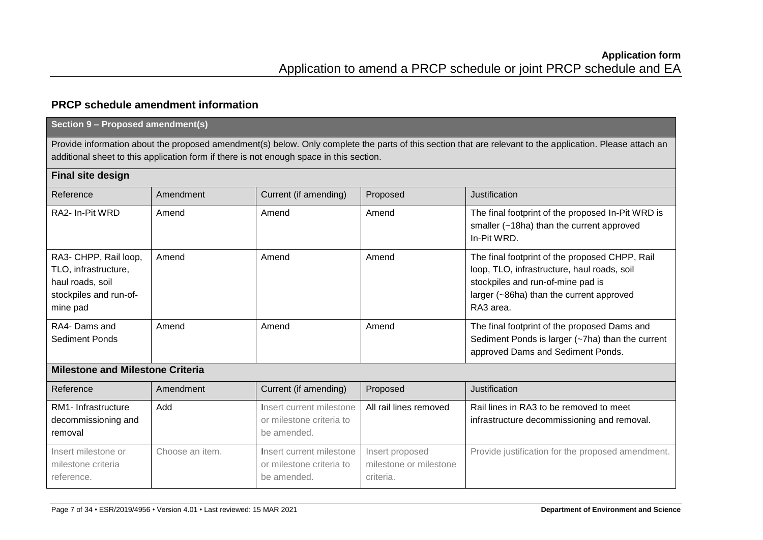## **PRCP schedule amendment information**

| Section 9 - Proposed amendment(s)                                                                                                                                                                                                                    |                 |                                                                     |                                                        |                                                                                                                                                                                             |
|------------------------------------------------------------------------------------------------------------------------------------------------------------------------------------------------------------------------------------------------------|-----------------|---------------------------------------------------------------------|--------------------------------------------------------|---------------------------------------------------------------------------------------------------------------------------------------------------------------------------------------------|
| Provide information about the proposed amendment(s) below. Only complete the parts of this section that are relevant to the application. Please attach an<br>additional sheet to this application form if there is not enough space in this section. |                 |                                                                     |                                                        |                                                                                                                                                                                             |
| <b>Final site design</b>                                                                                                                                                                                                                             |                 |                                                                     |                                                        |                                                                                                                                                                                             |
| Reference                                                                                                                                                                                                                                            | Amendment       | Current (if amending)                                               | Proposed                                               | Justification                                                                                                                                                                               |
| RA2- In-Pit WRD                                                                                                                                                                                                                                      | Amend           | Amend                                                               | Amend                                                  | The final footprint of the proposed In-Pit WRD is<br>smaller (~18ha) than the current approved<br>In-Pit WRD.                                                                               |
| RA3- CHPP, Rail loop,<br>TLO, infrastructure,<br>haul roads, soil<br>stockpiles and run-of-<br>mine pad                                                                                                                                              | Amend           | Amend                                                               | Amend                                                  | The final footprint of the proposed CHPP, Rail<br>loop, TLO, infrastructure, haul roads, soil<br>stockpiles and run-of-mine pad is<br>larger (~86ha) than the current approved<br>RA3 area. |
| RA4- Dams and<br><b>Sediment Ponds</b>                                                                                                                                                                                                               | Amend           | Amend                                                               | Amend                                                  | The final footprint of the proposed Dams and<br>Sediment Ponds is larger (~7ha) than the current<br>approved Dams and Sediment Ponds.                                                       |
| <b>Milestone and Milestone Criteria</b>                                                                                                                                                                                                              |                 |                                                                     |                                                        |                                                                                                                                                                                             |
| Reference                                                                                                                                                                                                                                            | Amendment       | Current (if amending)                                               | Proposed                                               | Justification                                                                                                                                                                               |
| RM1- Infrastructure<br>decommissioning and<br>removal                                                                                                                                                                                                | Add             | Insert current milestone<br>or milestone criteria to<br>be amended. | All rail lines removed                                 | Rail lines in RA3 to be removed to meet<br>infrastructure decommissioning and removal.                                                                                                      |
| Insert milestone or<br>milestone criteria<br>reference.                                                                                                                                                                                              | Choose an item. | Insert current milestone<br>or milestone criteria to<br>be amended. | Insert proposed<br>milestone or milestone<br>criteria. | Provide justification for the proposed amendment.                                                                                                                                           |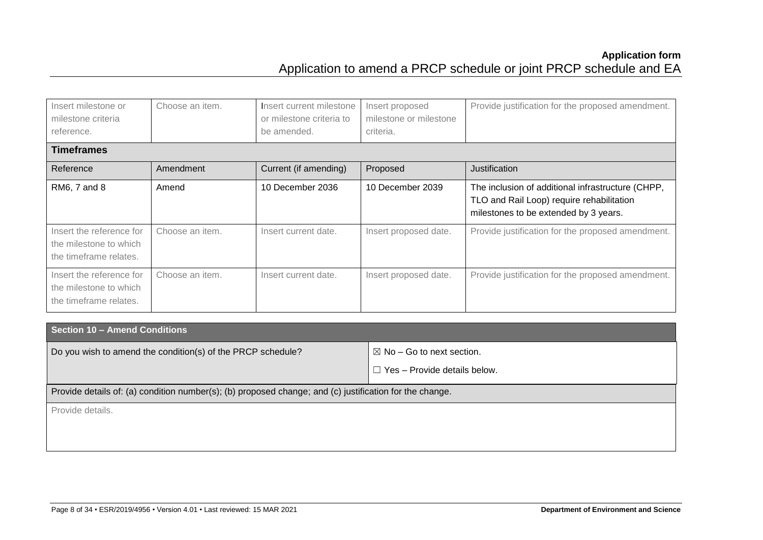| Insert milestone or<br>milestone criteria<br>reference.                      | Choose an item. | Insert current milestone<br>or milestone criteria to<br>be amended. | Insert proposed<br>milestone or milestone<br>criteria. | Provide justification for the proposed amendment.                                                                                       |
|------------------------------------------------------------------------------|-----------------|---------------------------------------------------------------------|--------------------------------------------------------|-----------------------------------------------------------------------------------------------------------------------------------------|
| <b>Timeframes</b>                                                            |                 |                                                                     |                                                        |                                                                                                                                         |
| Reference                                                                    | Amendment       | Current (if amending)                                               | Proposed                                               | Justification                                                                                                                           |
| RM6, 7 and 8                                                                 | Amend           | 10 December 2036                                                    | 10 December 2039                                       | The inclusion of additional infrastructure (CHPP,<br>TLO and Rail Loop) require rehabilitation<br>milestones to be extended by 3 years. |
| Insert the reference for<br>the milestone to which<br>the timeframe relates. | Choose an item. | Insert current date.                                                | Insert proposed date.                                  | Provide justification for the proposed amendment.                                                                                       |
| Insert the reference for<br>the milestone to which<br>the timeframe relates. | Choose an item. | Insert current date.                                                | Insert proposed date.                                  | Provide justification for the proposed amendment.                                                                                       |

## **Section 10 – Amend Conditions**

| Do you wish to amend the condition(s) of the PRCP schedule? | $\vert \boxtimes$ No – Go to next section. |
|-------------------------------------------------------------|--------------------------------------------|
|                                                             |                                            |

 $\Box$  Yes – Provide details below.

Provide details of: (a) condition number(s); (b) proposed change; and (c) justification for the change.

Provide details.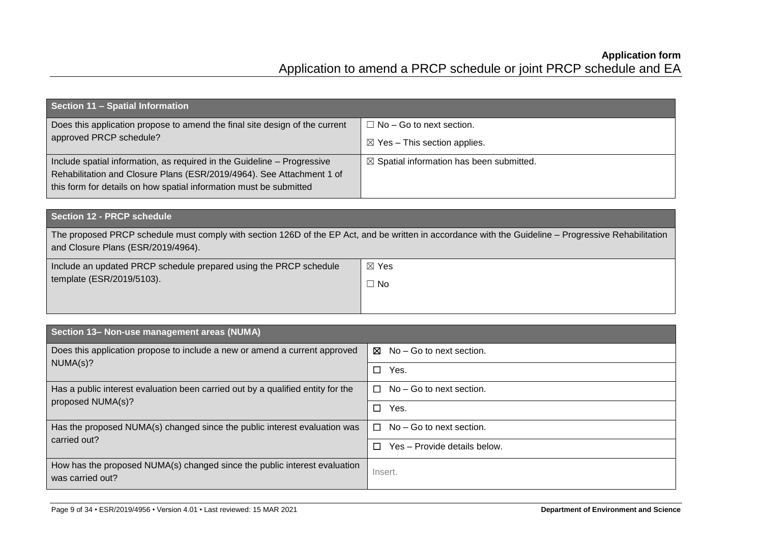| Section 11 - Spatial Information                                                                                                                                                                                       |                                                     |
|------------------------------------------------------------------------------------------------------------------------------------------------------------------------------------------------------------------------|-----------------------------------------------------|
| Does this application propose to amend the final site design of the current                                                                                                                                            | $\Box$ No – Go to next section.                     |
| approved PRCP schedule?                                                                                                                                                                                                | $\boxtimes$ Yes - This section applies.             |
| Include spatial information, as required in the Guideline - Progressive<br>Rehabilitation and Closure Plans (ESR/2019/4964). See Attachment 1 of<br>this form for details on how spatial information must be submitted | $\boxtimes$ Spatial information has been submitted. |

| Section 12 - PRCP schedule                                        |                                                                                                                                                      |
|-------------------------------------------------------------------|------------------------------------------------------------------------------------------------------------------------------------------------------|
| and Closure Plans (ESR/2019/4964).                                | The proposed PRCP schedule must comply with section 126D of the EP Act, and be written in accordance with the Guideline – Progressive Rehabilitation |
| Include an updated PRCP schedule prepared using the PRCP schedule | $\boxtimes$ Yes                                                                                                                                      |
| template (ESR/2019/5103).                                         | $\Box$ No                                                                                                                                            |
|                                                                   |                                                                                                                                                      |

| Section 13- Non-use management areas (NUMA)                                                          |                                        |  |
|------------------------------------------------------------------------------------------------------|----------------------------------------|--|
| Does this application propose to include a new or amend a current approved                           | No - Go to next section.<br>⊠          |  |
| NUMA(s)?                                                                                             | Yes.<br>$\Box$                         |  |
| Has a public interest evaluation been carried out by a qualified entity for the<br>proposed NUMA(s)? | No – Go to next section.<br>п          |  |
|                                                                                                      | Yes.<br>$\Box$                         |  |
| Has the proposed NUMA(s) changed since the public interest evaluation was                            | No - Go to next section.<br>П          |  |
| carried out?                                                                                         | Yes - Provide details below.<br>$\Box$ |  |
| How has the proposed NUMA(s) changed since the public interest evaluation<br>was carried out?        | Insert.                                |  |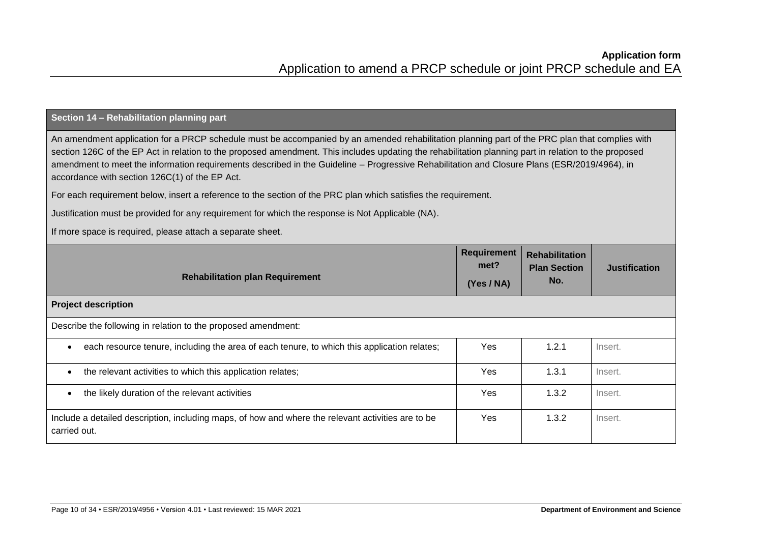#### **Section 14 – Rehabilitation planning part**

An amendment application for a PRCP schedule must be accompanied by an amended rehabilitation planning part of the PRC plan that complies with section 126C of the EP Act in relation to the proposed amendment. This includes updating the rehabilitation planning part in relation to the proposed amendment to meet the information requirements described in the Guideline – Progressive Rehabilitation and Closure Plans (ESR/2019/4964), in accordance with section 126C(1) of the EP Act.

For each requirement below, insert a reference to the section of the PRC plan which satisfies the requirement.

Justification must be provided for any requirement for which the response is Not Applicable (NA).

If more space is required, please attach a separate sheet.

| <b>Rehabilitation plan Requirement</b>                                                                             | <b>Requirement</b><br>met?<br>(Yes/NA) | <b>Rehabilitation</b><br><b>Plan Section</b><br>No. | <b>Justification</b> |
|--------------------------------------------------------------------------------------------------------------------|----------------------------------------|-----------------------------------------------------|----------------------|
| <b>Project description</b>                                                                                         |                                        |                                                     |                      |
| Describe the following in relation to the proposed amendment:                                                      |                                        |                                                     |                      |
| each resource tenure, including the area of each tenure, to which this application relates;                        | Yes                                    | 1.2.1                                               | Insert.              |
| the relevant activities to which this application relates;                                                         | Yes                                    | 1.3.1                                               | Insert.              |
| the likely duration of the relevant activities                                                                     | Yes                                    | 1.3.2                                               | Insert.              |
| Include a detailed description, including maps, of how and where the relevant activities are to be<br>carried out. | Yes                                    | 1.3.2                                               | Insert.              |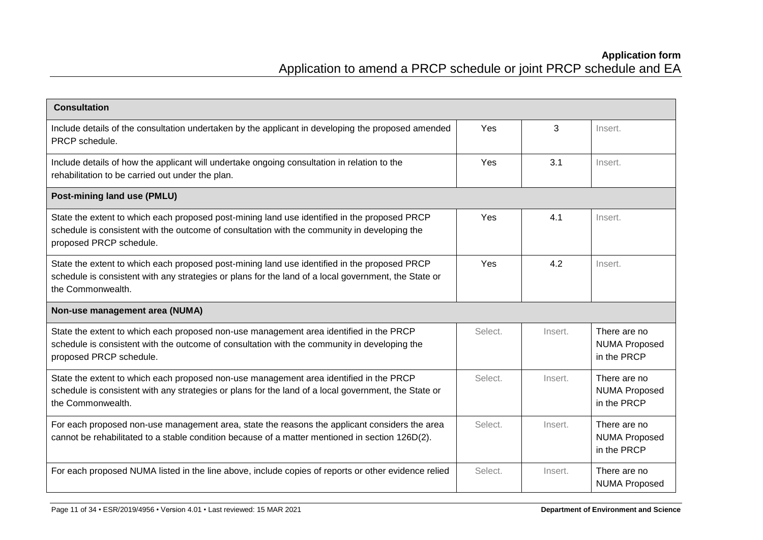| <b>Consultation</b>                                                                                                                                                                                                       |         |         |                                                     |
|---------------------------------------------------------------------------------------------------------------------------------------------------------------------------------------------------------------------------|---------|---------|-----------------------------------------------------|
| Include details of the consultation undertaken by the applicant in developing the proposed amended<br>PRCP schedule.                                                                                                      | Yes     | 3       | Insert.                                             |
| Include details of how the applicant will undertake ongoing consultation in relation to the<br>rehabilitation to be carried out under the plan.                                                                           | Yes     | 3.1     | Insert.                                             |
| Post-mining land use (PMLU)                                                                                                                                                                                               |         |         |                                                     |
| State the extent to which each proposed post-mining land use identified in the proposed PRCP<br>schedule is consistent with the outcome of consultation with the community in developing the<br>proposed PRCP schedule.   | Yes     | 4.1     | Insert.                                             |
| State the extent to which each proposed post-mining land use identified in the proposed PRCP<br>schedule is consistent with any strategies or plans for the land of a local government, the State or<br>the Commonwealth. | Yes     | 4.2     | Insert.                                             |
| Non-use management area (NUMA)                                                                                                                                                                                            |         |         |                                                     |
| State the extent to which each proposed non-use management area identified in the PRCP<br>schedule is consistent with the outcome of consultation with the community in developing the<br>proposed PRCP schedule.         | Select. | Insert. | There are no<br><b>NUMA Proposed</b><br>in the PRCP |
| State the extent to which each proposed non-use management area identified in the PRCP<br>schedule is consistent with any strategies or plans for the land of a local government, the State or<br>the Commonwealth.       | Select. | Insert. | There are no<br><b>NUMA Proposed</b><br>in the PRCP |
| For each proposed non-use management area, state the reasons the applicant considers the area<br>cannot be rehabilitated to a stable condition because of a matter mentioned in section 126D(2).                          | Select. | Insert. | There are no<br><b>NUMA Proposed</b><br>in the PRCP |
| For each proposed NUMA listed in the line above, include copies of reports or other evidence relied                                                                                                                       | Select. | Insert. | There are no<br><b>NUMA Proposed</b>                |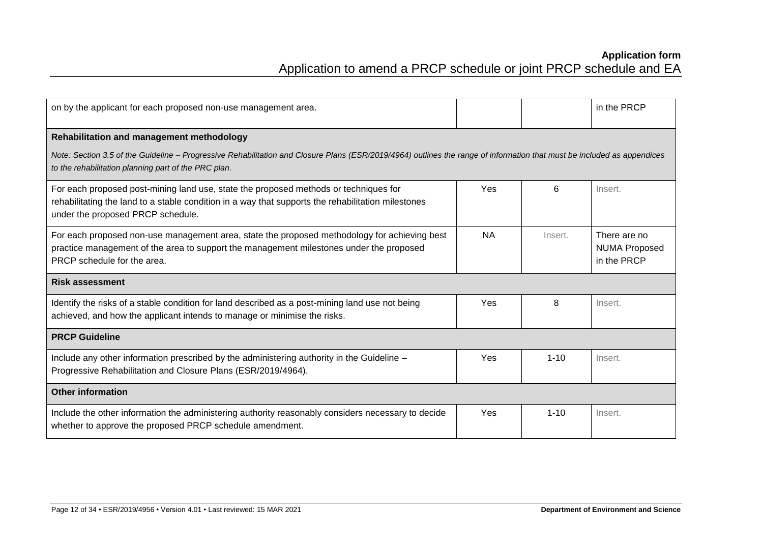| on by the applicant for each proposed non-use management area.                                                                                                                                                                  |           |          | in the PRCP                                         |  |
|---------------------------------------------------------------------------------------------------------------------------------------------------------------------------------------------------------------------------------|-----------|----------|-----------------------------------------------------|--|
| Rehabilitation and management methodology                                                                                                                                                                                       |           |          |                                                     |  |
| Note: Section 3.5 of the Guideline - Progressive Rehabilitation and Closure Plans (ESR/2019/4964) outlines the range of information that must be included as appendices<br>to the rehabilitation planning part of the PRC plan. |           |          |                                                     |  |
| For each proposed post-mining land use, state the proposed methods or techniques for<br>rehabilitating the land to a stable condition in a way that supports the rehabilitation milestones<br>under the proposed PRCP schedule. | Yes       | 6        | Insert.                                             |  |
| For each proposed non-use management area, state the proposed methodology for achieving best<br>practice management of the area to support the management milestones under the proposed<br>PRCP schedule for the area.          | <b>NA</b> | Insert.  | There are no<br><b>NUMA Proposed</b><br>in the PRCP |  |
| <b>Risk assessment</b>                                                                                                                                                                                                          |           |          |                                                     |  |
| Identify the risks of a stable condition for land described as a post-mining land use not being<br>achieved, and how the applicant intends to manage or minimise the risks.                                                     | Yes       | 8        | Insert.                                             |  |
| <b>PRCP Guideline</b>                                                                                                                                                                                                           |           |          |                                                     |  |
| Include any other information prescribed by the administering authority in the Guideline -<br>Progressive Rehabilitation and Closure Plans (ESR/2019/4964).                                                                     | Yes       | $1 - 10$ | Insert.                                             |  |
| <b>Other information</b>                                                                                                                                                                                                        |           |          |                                                     |  |
| Include the other information the administering authority reasonably considers necessary to decide<br>whether to approve the proposed PRCP schedule amendment.                                                                  | Yes       | $1 - 10$ | Insert.                                             |  |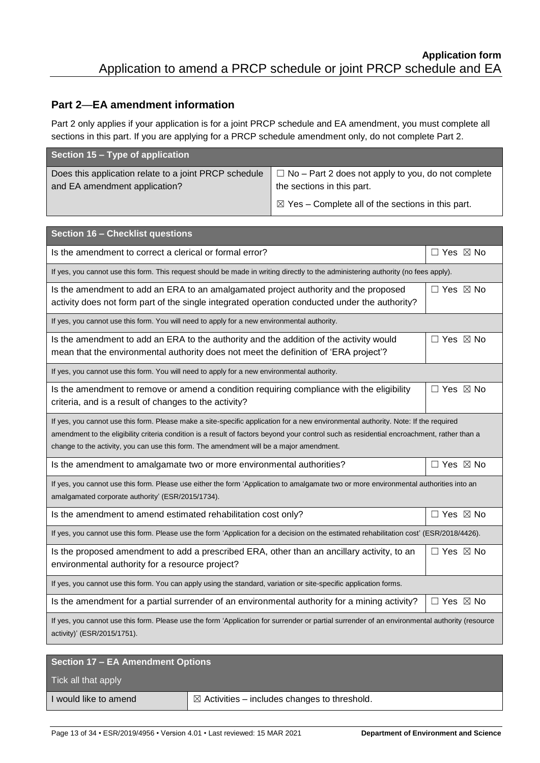## **Part 2**—**EA amendment information**

Part 2 only applies if your application is for a joint PRCP schedule and EA amendment, you must complete all sections in this part. If you are applying for a PRCP schedule amendment only, do not complete Part 2.

| Section 15 – Type of application                                                       |                                                                                                                                                         |
|----------------------------------------------------------------------------------------|---------------------------------------------------------------------------------------------------------------------------------------------------------|
| Does this application relate to a joint PRCP schedule<br>and EA amendment application? | $\Box$ No – Part 2 does not apply to you, do not complete<br>the sections in this part.<br>$\boxtimes$ Yes – Complete all of the sections in this part. |

| Section 16 - Checklist questions                                                                                                                                                                                                                                                                                                                                            |                           |  |  |
|-----------------------------------------------------------------------------------------------------------------------------------------------------------------------------------------------------------------------------------------------------------------------------------------------------------------------------------------------------------------------------|---------------------------|--|--|
| Is the amendment to correct a clerical or formal error?                                                                                                                                                                                                                                                                                                                     | $\Box$ Yes $\boxtimes$ No |  |  |
| If yes, you cannot use this form. This request should be made in writing directly to the administering authority (no fees apply).                                                                                                                                                                                                                                           |                           |  |  |
| Is the amendment to add an ERA to an amalgamated project authority and the proposed<br>activity does not form part of the single integrated operation conducted under the authority?                                                                                                                                                                                        | □ Yes ⊠ No                |  |  |
| If yes, you cannot use this form. You will need to apply for a new environmental authority.                                                                                                                                                                                                                                                                                 |                           |  |  |
| Is the amendment to add an ERA to the authority and the addition of the activity would<br>mean that the environmental authority does not meet the definition of 'ERA project'?                                                                                                                                                                                              | $\Box$ Yes $\boxtimes$ No |  |  |
| If yes, you cannot use this form. You will need to apply for a new environmental authority.                                                                                                                                                                                                                                                                                 |                           |  |  |
| Is the amendment to remove or amend a condition requiring compliance with the eligibility<br>criteria, and is a result of changes to the activity?                                                                                                                                                                                                                          | $\Box$ Yes $\boxtimes$ No |  |  |
| If yes, you cannot use this form. Please make a site-specific application for a new environmental authority. Note: If the required<br>amendment to the eligibility criteria condition is a result of factors beyond your control such as residential encroachment, rather than a<br>change to the activity, you can use this form. The amendment will be a major amendment. |                           |  |  |
| Is the amendment to amalgamate two or more environmental authorities?                                                                                                                                                                                                                                                                                                       | $\Box$ Yes $\boxtimes$ No |  |  |
| If yes, you cannot use this form. Please use either the form 'Application to amalgamate two or more environmental authorities into an<br>amalgamated corporate authority' (ESR/2015/1734).                                                                                                                                                                                  |                           |  |  |
| Is the amendment to amend estimated rehabilitation cost only?                                                                                                                                                                                                                                                                                                               | □ Yes ⊠ No                |  |  |
| If yes, you cannot use this form. Please use the form 'Application for a decision on the estimated rehabilitation cost' (ESR/2018/4426).                                                                                                                                                                                                                                    |                           |  |  |
| Is the proposed amendment to add a prescribed ERA, other than an ancillary activity, to an<br>environmental authority for a resource project?                                                                                                                                                                                                                               | $\Box$ Yes $\boxtimes$ No |  |  |
| If yes, you cannot use this form. You can apply using the standard, variation or site-specific application forms.                                                                                                                                                                                                                                                           |                           |  |  |
| Is the amendment for a partial surrender of an environmental authority for a mining activity?                                                                                                                                                                                                                                                                               | $\Box$ Yes $\boxtimes$ No |  |  |
| If yes, you cannot use this form. Please use the form 'Application for surrender or partial surrender of an environmental authority (resource<br>activity)' (ESR/2015/1751).                                                                                                                                                                                                |                           |  |  |
| <b>Section 17 - EA Amendment Options</b>                                                                                                                                                                                                                                                                                                                                    |                           |  |  |

Tick all that apply

I would like to amend  $\Box$  Activities – includes changes to threshold.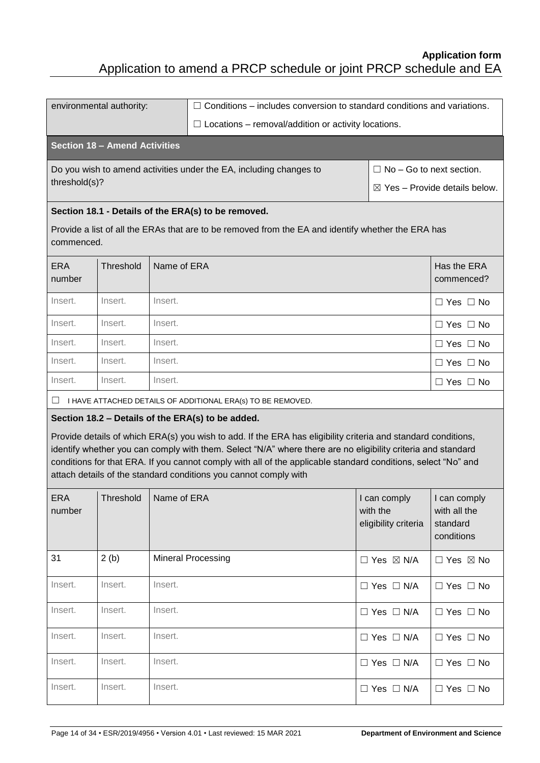|                                                                                                                                                                                                                                                                                                                                                                                                                    | environmental authority:             |             | $\Box$ Conditions – includes conversion to standard conditions and variations.                     |                                                  |                                                        |
|--------------------------------------------------------------------------------------------------------------------------------------------------------------------------------------------------------------------------------------------------------------------------------------------------------------------------------------------------------------------------------------------------------------------|--------------------------------------|-------------|----------------------------------------------------------------------------------------------------|--------------------------------------------------|--------------------------------------------------------|
|                                                                                                                                                                                                                                                                                                                                                                                                                    |                                      |             | $\Box$ Locations – removal/addition or activity locations.                                         |                                                  |                                                        |
|                                                                                                                                                                                                                                                                                                                                                                                                                    | <b>Section 18 - Amend Activities</b> |             |                                                                                                    |                                                  |                                                        |
|                                                                                                                                                                                                                                                                                                                                                                                                                    |                                      |             | Do you wish to amend activities under the EA, including changes to                                 | $\Box$ No – Go to next section.                  |                                                        |
| threshold(s)?                                                                                                                                                                                                                                                                                                                                                                                                      |                                      |             |                                                                                                    |                                                  | $\boxtimes$ Yes - Provide details below.               |
|                                                                                                                                                                                                                                                                                                                                                                                                                    |                                      |             | Section 18.1 - Details of the ERA(s) to be removed.                                                |                                                  |                                                        |
| commenced.                                                                                                                                                                                                                                                                                                                                                                                                         |                                      |             | Provide a list of all the ERAs that are to be removed from the EA and identify whether the ERA has |                                                  |                                                        |
| <b>ERA</b><br>number                                                                                                                                                                                                                                                                                                                                                                                               | Threshold                            | Name of ERA |                                                                                                    |                                                  | Has the ERA<br>commenced?                              |
| Insert.                                                                                                                                                                                                                                                                                                                                                                                                            | Insert.                              | Insert.     |                                                                                                    |                                                  | $\Box$ Yes $\Box$ No                                   |
| Insert.                                                                                                                                                                                                                                                                                                                                                                                                            | Insert.                              | Insert.     |                                                                                                    |                                                  | $\Box$ Yes $\Box$ No                                   |
| Insert.                                                                                                                                                                                                                                                                                                                                                                                                            | Insert.                              | Insert.     |                                                                                                    |                                                  | $\Box$ Yes $\Box$ No                                   |
| Insert.                                                                                                                                                                                                                                                                                                                                                                                                            | Insert.                              | Insert.     |                                                                                                    | $\Box$ Yes $\Box$ No                             |                                                        |
| Insert.<br>Insert.<br>Insert.                                                                                                                                                                                                                                                                                                                                                                                      |                                      |             | $\Box$ Yes $\Box$ No                                                                               |                                                  |                                                        |
| ⊔                                                                                                                                                                                                                                                                                                                                                                                                                  |                                      |             | I HAVE ATTACHED DETAILS OF ADDITIONAL ERA(s) TO BE REMOVED.                                        |                                                  |                                                        |
| Section 18.2 - Details of the ERA(s) to be added.                                                                                                                                                                                                                                                                                                                                                                  |                                      |             |                                                                                                    |                                                  |                                                        |
| Provide details of which ERA(s) you wish to add. If the ERA has eligibility criteria and standard conditions,<br>identify whether you can comply with them. Select "N/A" where there are no eligibility criteria and standard<br>conditions for that ERA. If you cannot comply with all of the applicable standard conditions, select "No" and<br>attach details of the standard conditions you cannot comply with |                                      |             |                                                                                                    |                                                  |                                                        |
| <b>ERA</b><br>number                                                                                                                                                                                                                                                                                                                                                                                               | Threshold                            | Name of ERA |                                                                                                    | I can comply<br>with the<br>eligibility criteria | I can comply<br>with all the<br>standard<br>conditions |
| 31                                                                                                                                                                                                                                                                                                                                                                                                                 | 2(b)                                 |             | <b>Mineral Processing</b>                                                                          | □ Yes ⊠ N/A                                      | □ Yes ⊠ No                                             |
| Insert.                                                                                                                                                                                                                                                                                                                                                                                                            | Insert.                              | Insert.     |                                                                                                    | $\Box$ Yes $\Box$ N/A                            | $\Box$ Yes $\Box$ No                                   |
| Insert.                                                                                                                                                                                                                                                                                                                                                                                                            | Insert.                              | Insert.     |                                                                                                    | $\Box$ Yes $\Box$ N/A                            | $\Box$ Yes $\Box$ No                                   |
| Insert.                                                                                                                                                                                                                                                                                                                                                                                                            | Insert.                              | Insert.     |                                                                                                    | $\Box$ Yes $\Box$ N/A                            | $\Box$ Yes $\Box$ No                                   |
| Insert.                                                                                                                                                                                                                                                                                                                                                                                                            | Insert.                              | Insert.     |                                                                                                    | $\Box$ Yes $\Box$ N/A                            | $\Box$ Yes $\Box$ No                                   |
| Insert.                                                                                                                                                                                                                                                                                                                                                                                                            | Insert.                              | Insert.     |                                                                                                    | $\Box$ Yes $\Box$ N/A                            | $\Box$ Yes $\Box$ No                                   |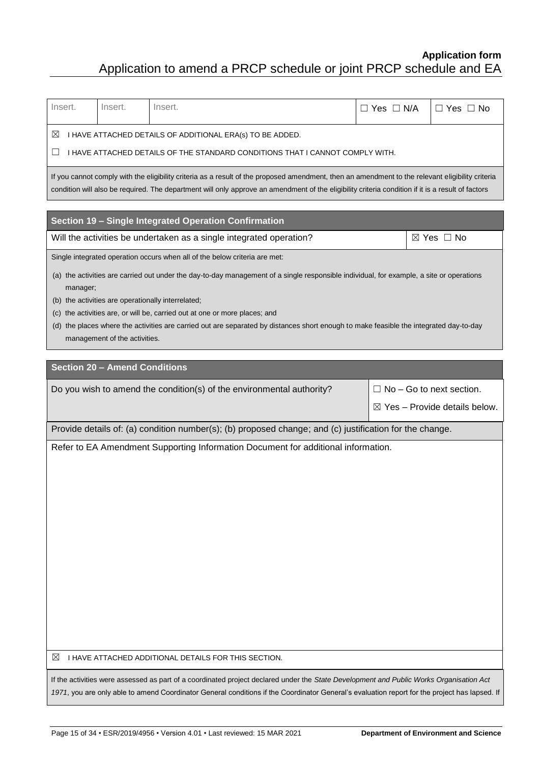| Insert.                                                                                                                                                                                                                                                                                  | Insert.                              | Insert.                                                                                                                                                                                                                                                                                               | $\Box$ Yes $\Box$ N/A                    | $\Box$ Yes $\Box$ No      |  |
|------------------------------------------------------------------------------------------------------------------------------------------------------------------------------------------------------------------------------------------------------------------------------------------|--------------------------------------|-------------------------------------------------------------------------------------------------------------------------------------------------------------------------------------------------------------------------------------------------------------------------------------------------------|------------------------------------------|---------------------------|--|
| ⊠                                                                                                                                                                                                                                                                                        |                                      | I HAVE ATTACHED DETAILS OF ADDITIONAL ERA(s) TO BE ADDED.                                                                                                                                                                                                                                             |                                          |                           |  |
| ப                                                                                                                                                                                                                                                                                        |                                      | I HAVE ATTACHED DETAILS OF THE STANDARD CONDITIONS THAT I CANNOT COMPLY WITH.                                                                                                                                                                                                                         |                                          |                           |  |
|                                                                                                                                                                                                                                                                                          |                                      | If you cannot comply with the eligibility criteria as a result of the proposed amendment, then an amendment to the relevant eligibility criteria<br>condition will also be required. The department will only approve an amendment of the eligibility criteria condition if it is a result of factors |                                          |                           |  |
|                                                                                                                                                                                                                                                                                          |                                      | Section 19 - Single Integrated Operation Confirmation                                                                                                                                                                                                                                                 |                                          |                           |  |
|                                                                                                                                                                                                                                                                                          |                                      | Will the activities be undertaken as a single integrated operation?                                                                                                                                                                                                                                   |                                          | $\boxtimes$ Yes $\Box$ No |  |
|                                                                                                                                                                                                                                                                                          |                                      | Single integrated operation occurs when all of the below criteria are met:                                                                                                                                                                                                                            |                                          |                           |  |
| manager;                                                                                                                                                                                                                                                                                 |                                      | (a) the activities are carried out under the day-to-day management of a single responsible individual, for example, a site or operations                                                                                                                                                              |                                          |                           |  |
|                                                                                                                                                                                                                                                                                          |                                      | (b) the activities are operationally interrelated;                                                                                                                                                                                                                                                    |                                          |                           |  |
|                                                                                                                                                                                                                                                                                          |                                      | the activities are, or will be, carried out at one or more places; and<br>(d) the places where the activities are carried out are separated by distances short enough to make feasible the integrated day-to-day                                                                                      |                                          |                           |  |
|                                                                                                                                                                                                                                                                                          | management of the activities.        |                                                                                                                                                                                                                                                                                                       |                                          |                           |  |
|                                                                                                                                                                                                                                                                                          | <b>Section 20 - Amend Conditions</b> |                                                                                                                                                                                                                                                                                                       |                                          |                           |  |
|                                                                                                                                                                                                                                                                                          |                                      | Do you wish to amend the condition(s) of the environmental authority?                                                                                                                                                                                                                                 | $\Box$ No – Go to next section.          |                           |  |
|                                                                                                                                                                                                                                                                                          |                                      |                                                                                                                                                                                                                                                                                                       | $\boxtimes$ Yes - Provide details below. |                           |  |
| Provide details of: (a) condition number(s); (b) proposed change; and (c) justification for the change.                                                                                                                                                                                  |                                      |                                                                                                                                                                                                                                                                                                       |                                          |                           |  |
| Refer to EA Amendment Supporting Information Document for additional information.                                                                                                                                                                                                        |                                      |                                                                                                                                                                                                                                                                                                       |                                          |                           |  |
|                                                                                                                                                                                                                                                                                          |                                      |                                                                                                                                                                                                                                                                                                       |                                          |                           |  |
|                                                                                                                                                                                                                                                                                          |                                      |                                                                                                                                                                                                                                                                                                       |                                          |                           |  |
|                                                                                                                                                                                                                                                                                          |                                      |                                                                                                                                                                                                                                                                                                       |                                          |                           |  |
|                                                                                                                                                                                                                                                                                          |                                      |                                                                                                                                                                                                                                                                                                       |                                          |                           |  |
|                                                                                                                                                                                                                                                                                          |                                      |                                                                                                                                                                                                                                                                                                       |                                          |                           |  |
|                                                                                                                                                                                                                                                                                          |                                      |                                                                                                                                                                                                                                                                                                       |                                          |                           |  |
|                                                                                                                                                                                                                                                                                          |                                      |                                                                                                                                                                                                                                                                                                       |                                          |                           |  |
|                                                                                                                                                                                                                                                                                          |                                      |                                                                                                                                                                                                                                                                                                       |                                          |                           |  |
|                                                                                                                                                                                                                                                                                          |                                      |                                                                                                                                                                                                                                                                                                       |                                          |                           |  |
| $\boxtimes$<br>I HAVE ATTACHED ADDITIONAL DETAILS FOR THIS SECTION.                                                                                                                                                                                                                      |                                      |                                                                                                                                                                                                                                                                                                       |                                          |                           |  |
| If the activities were assessed as part of a coordinated project declared under the State Development and Public Works Organisation Act<br>1971, you are only able to amend Coordinator General conditions if the Coordinator General's evaluation report for the project has lapsed. If |                                      |                                                                                                                                                                                                                                                                                                       |                                          |                           |  |
|                                                                                                                                                                                                                                                                                          |                                      |                                                                                                                                                                                                                                                                                                       |                                          |                           |  |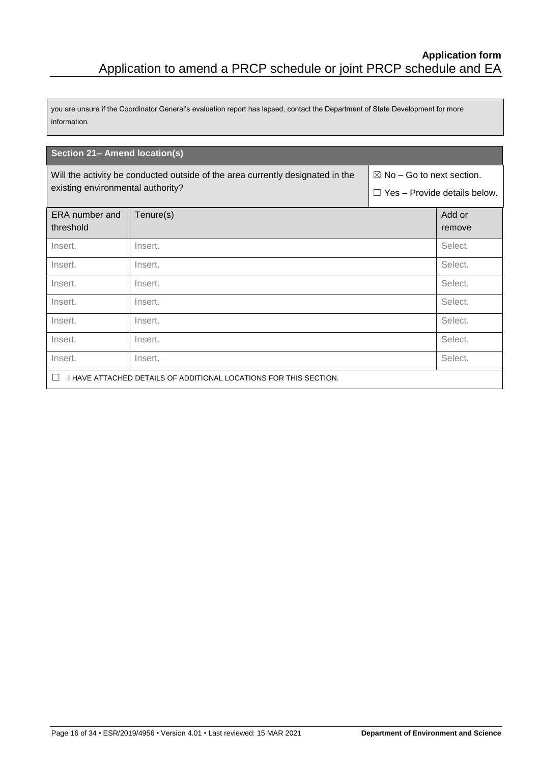you are unsure if the Coordinator General's evaluation report has lapsed, contact the Department of State Development for more information.

| Section 21- Amend location(s)                                                                                       |           |                                     |                                      |  |
|---------------------------------------------------------------------------------------------------------------------|-----------|-------------------------------------|--------------------------------------|--|
| Will the activity be conducted outside of the area currently designated in the<br>existing environmental authority? |           |                                     | $\boxtimes$ No – Go to next section. |  |
|                                                                                                                     |           | $\Box$ Yes - Provide details below. |                                      |  |
| ERA number and                                                                                                      | Tenure(s) |                                     | Add or                               |  |
| threshold                                                                                                           |           |                                     | remove                               |  |
| Insert.                                                                                                             | Insert.   |                                     | Select.                              |  |
| Insert.                                                                                                             | Insert.   |                                     | Select.                              |  |
| Insert.                                                                                                             | Insert.   |                                     | Select.                              |  |
| Insert.                                                                                                             | Insert.   |                                     | Select.                              |  |
| Insert.                                                                                                             | Insert.   |                                     | Select.                              |  |
| Insert.                                                                                                             | Insert.   |                                     | Select.                              |  |
| Insert.                                                                                                             | Insert.   |                                     | Select.                              |  |
| I HAVE ATTACHED DETAILS OF ADDITIONAL LOCATIONS FOR THIS SECTION.                                                   |           |                                     |                                      |  |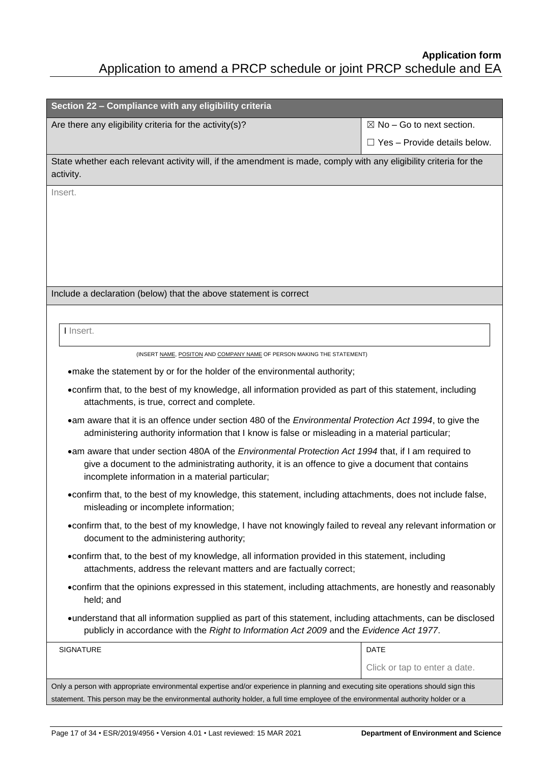| Section 22 - Compliance with any eligibility criteria                                                                                                                                                                                                                    |                                      |  |  |
|--------------------------------------------------------------------------------------------------------------------------------------------------------------------------------------------------------------------------------------------------------------------------|--------------------------------------|--|--|
| Are there any eligibility criteria for the activity(s)?                                                                                                                                                                                                                  | $\boxtimes$ No - Go to next section. |  |  |
|                                                                                                                                                                                                                                                                          | $\Box$ Yes - Provide details below.  |  |  |
| State whether each relevant activity will, if the amendment is made, comply with any eligibility criteria for the<br>activity.                                                                                                                                           |                                      |  |  |
| Insert.                                                                                                                                                                                                                                                                  |                                      |  |  |
| Include a declaration (below) that the above statement is correct                                                                                                                                                                                                        |                                      |  |  |
| I Insert.                                                                                                                                                                                                                                                                |                                      |  |  |
| (INSERT NAME, POSITON AND COMPANY NAME OF PERSON MAKING THE STATEMENT)                                                                                                                                                                                                   |                                      |  |  |
| . make the statement by or for the holder of the environmental authority;                                                                                                                                                                                                |                                      |  |  |
| • confirm that, to the best of my knowledge, all information provided as part of this statement, including<br>attachments, is true, correct and complete.                                                                                                                |                                      |  |  |
| • am aware that it is an offence under section 480 of the <i>Environmental Protection Act 1994</i> , to give the<br>administering authority information that I know is false or misleading in a material particular;                                                     |                                      |  |  |
| •am aware that under section 480A of the <i>Environmental Protection Act 1994</i> that, if I am required to<br>give a document to the administrating authority, it is an offence to give a document that contains<br>incomplete information in a material particular;    |                                      |  |  |
| • confirm that, to the best of my knowledge, this statement, including attachments, does not include false,<br>misleading or incomplete information;                                                                                                                     |                                      |  |  |
| • confirm that, to the best of my knowledge, I have not knowingly failed to reveal any relevant information or<br>document to the administering authority;                                                                                                               |                                      |  |  |
| • confirm that, to the best of my knowledge, all information provided in this statement, including<br>attachments, address the relevant matters and are factually correct;                                                                                               |                                      |  |  |
| • confirm that the opinions expressed in this statement, including attachments, are honestly and reasonably<br>held; and                                                                                                                                                 |                                      |  |  |
| •understand that all information supplied as part of this statement, including attachments, can be disclosed<br>publicly in accordance with the Right to Information Act 2009 and the Evidence Act 1977.                                                                 |                                      |  |  |
| SIGNATURE                                                                                                                                                                                                                                                                | DATE                                 |  |  |
|                                                                                                                                                                                                                                                                          | Click or tap to enter a date.        |  |  |
| Only a person with appropriate environmental expertise and/or experience in planning and executing site operations should sign this<br>statement. This person may be the environmental authority holder, a full time employee of the environmental authority holder or a |                                      |  |  |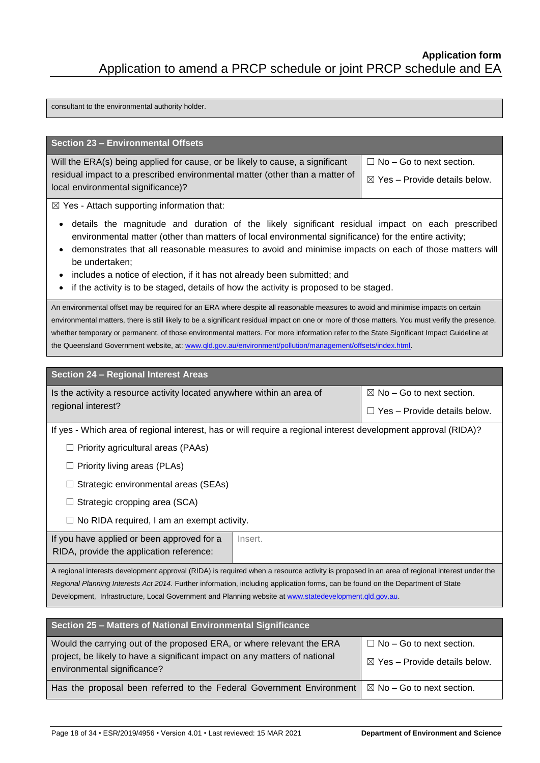consultant to the environmental authority holder.

#### **Section 23 – Environmental Offsets**

Will the ERA(s) being applied for cause, or be likely to cause, a significant residual impact to a prescribed environmental matter (other than a matter of local environmental significance)?

 $\Box$  No – Go to next section.

 $\boxtimes$  Yes – Provide details below.

 $\boxtimes$  Yes - Attach supporting information that:

- details the magnitude and duration of the likely significant residual impact on each prescribed environmental matter (other than matters of local environmental significance) for the entire activity;
- demonstrates that all reasonable measures to avoid and minimise impacts on each of those matters will be undertaken;
- includes a notice of election, if it has not already been submitted; and
- if the activity is to be staged, details of how the activity is proposed to be staged.

An environmental offset may be required for an ERA where despite all reasonable measures to avoid and minimise impacts on certain environmental matters, there is still likely to be a significant residual impact on one or more of those matters. You must verify the presence, whether temporary or permanent, of those environmental matters. For more information refer to the State Significant Impact Guideline at the Queensland Government website, at[: www.qld.gov.au/environment/pollution/management/offsets/index.html.](http://www.qld.gov.au/environment/pollution/management/offsets/index.html)

| Section 24 - Regional Interest Areas                                                                           |                                           |  |  |
|----------------------------------------------------------------------------------------------------------------|-------------------------------------------|--|--|
| Is the activity a resource activity located anywhere within an area of                                         | $\boxtimes$ No – Go to next section.      |  |  |
| regional interest?                                                                                             | l Yes – Provide details below.<br>$\perp$ |  |  |
| If yes - Which area of regional interest, has or will require a regional interest development approval (RIDA)? |                                           |  |  |
| $\Box$ Priority agricultural areas (PAAs)                                                                      |                                           |  |  |
| $\Box$ Priority living areas (PLAs)                                                                            |                                           |  |  |
| $\Box$ Strategic environmental areas (SEAs)                                                                    |                                           |  |  |
| $\Box$ Strategic cropping area (SCA)                                                                           |                                           |  |  |
| No RIDA required, I am an exempt activity.                                                                     |                                           |  |  |

If you have applied or been approved for a RIDA, provide the application reference: Insert.

A regional interests development approval (RIDA) is required when a resource activity is proposed in an area of regional interest under the *Regional Planning Interests Act 2014*. Further information, including application forms, can be found on the Department of State Development, Infrastructure, Local Government and Planning website at [www.statedevelopment.qld.gov.au.](https://www.statedevelopment.qld.gov.au/)

| Section 25 - Matters of National Environmental Significance                                                                                                                        |                                                                             |  |  |
|------------------------------------------------------------------------------------------------------------------------------------------------------------------------------------|-----------------------------------------------------------------------------|--|--|
| Would the carrying out of the proposed ERA, or where relevant the ERA<br>project, be likely to have a significant impact on any matters of national<br>environmental significance? | $\Box$ No – Go to next section.<br>$\boxtimes$ Yes – Provide details below. |  |  |
| Has the proposal been referred to the Federal Government Environment                                                                                                               | $\boxtimes$ No – Go to next section.                                        |  |  |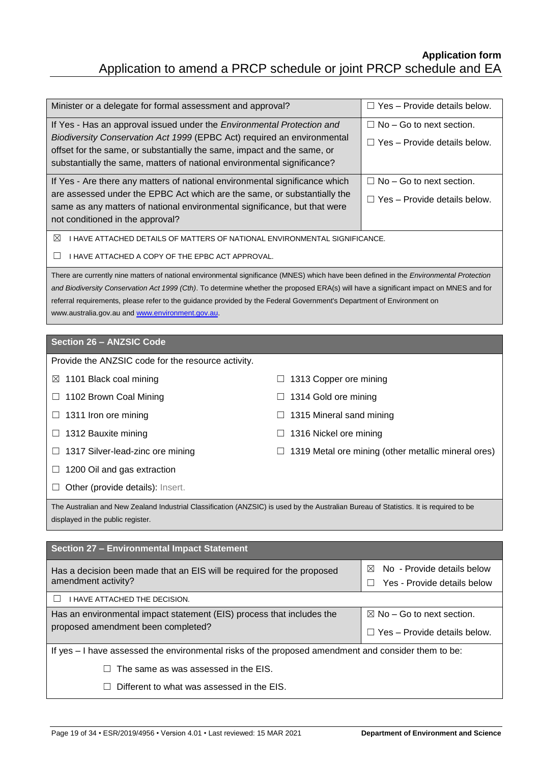| Minister or a delegate for formal assessment and approval?                                                                                                                | $\Box$ Yes – Provide details below.                                    |  |  |  |
|---------------------------------------------------------------------------------------------------------------------------------------------------------------------------|------------------------------------------------------------------------|--|--|--|
| If Yes - Has an approval issued under the <i>Environmental Protection and</i><br>Biodiversity Conservation Act 1999 (EPBC Act) required an environmental                  | $\Box$ No – Go to next section.<br>$\Box$ Yes – Provide details below. |  |  |  |
| offset for the same, or substantially the same, impact and the same, or<br>substantially the same, matters of national environmental significance?                        |                                                                        |  |  |  |
| If Yes - Are there any matters of national environmental significance which                                                                                               | $\Box$ No – Go to next section.                                        |  |  |  |
| are assessed under the EPBC Act which are the same, or substantially the<br>same as any matters of national environmental significance, but that were                     | $\Box$ Yes – Provide details below.                                    |  |  |  |
| not conditioned in the approval?                                                                                                                                          |                                                                        |  |  |  |
| ⊠<br>I HAVE ATTACHED DETAILS OF MATTERS OF NATIONAL ENVIRONMENTAL SIGNIFICANCE.                                                                                           |                                                                        |  |  |  |
| I HAVE ATTACHED A COPY OF THE EPBC ACT APPROVAL.                                                                                                                          |                                                                        |  |  |  |
| There are currently nine matters of national environmental significance (MNES) which have been defined in the Environmental Protection                                    |                                                                        |  |  |  |
| and Biodiversity Conservation Act 1999 (Cth). To determine whether the proposed ERA(s) will have a significant impact on MNES and for                                     |                                                                        |  |  |  |
| referral requirements, please refer to the guidance provided by the Federal Government's Department of Environment on<br>www.australia.gov.au and www.environment.gov.au. |                                                                        |  |  |  |
|                                                                                                                                                                           |                                                                        |  |  |  |

## **Section 26 – ANZSIC Code**

| Provide the ANZSIC code for the resource activity.                                                                                                                          |                                                     |  |
|-----------------------------------------------------------------------------------------------------------------------------------------------------------------------------|-----------------------------------------------------|--|
| $\boxtimes$ 1101 Black coal mining                                                                                                                                          | 1313 Copper ore mining                              |  |
| 1102 Brown Coal Mining<br>ш                                                                                                                                                 | 1314 Gold ore mining                                |  |
| 1311 Iron ore mining<br>$\Box$                                                                                                                                              | 1315 Mineral sand mining                            |  |
| 1312 Bauxite mining<br>⊔                                                                                                                                                    | 1316 Nickel ore mining                              |  |
| 1317 Silver-lead-zinc ore mining<br>ш                                                                                                                                       | 1319 Metal ore mining (other metallic mineral ores) |  |
| 1200 Oil and gas extraction<br>ப                                                                                                                                            |                                                     |  |
| Other (provide details): Insert.<br>Ш                                                                                                                                       |                                                     |  |
| The Australian and New Zealand Industrial Classification (ANZSIC) is used by the Australian Bureau of Statistics. It is required to be<br>displayed in the public register. |                                                     |  |
|                                                                                                                                                                             |                                                     |  |
| Section 27 – Environmental Impact Statement                                                                                                                                 |                                                     |  |

| sootion Environmontal impact otatomont                                                              |                                      |  |
|-----------------------------------------------------------------------------------------------------|--------------------------------------|--|
| Has a decision been made that an EIS will be required for the proposed                              | No - Provide details below<br>⊠      |  |
| amendment activity?                                                                                 | Yes - Provide details below          |  |
| I HAVE ATTACHED THE DECISION.                                                                       |                                      |  |
| Has an environmental impact statement (EIS) process that includes the                               | $\boxtimes$ No – Go to next section. |  |
| proposed amendment been completed?                                                                  | l Yes – Provide details below.<br>П  |  |
| If yes - I have assessed the environmental risks of the proposed amendment and consider them to be: |                                      |  |
| The same as was assessed in the EIS.                                                                |                                      |  |
| Different to what was assessed in the EIS.<br>$\perp$                                               |                                      |  |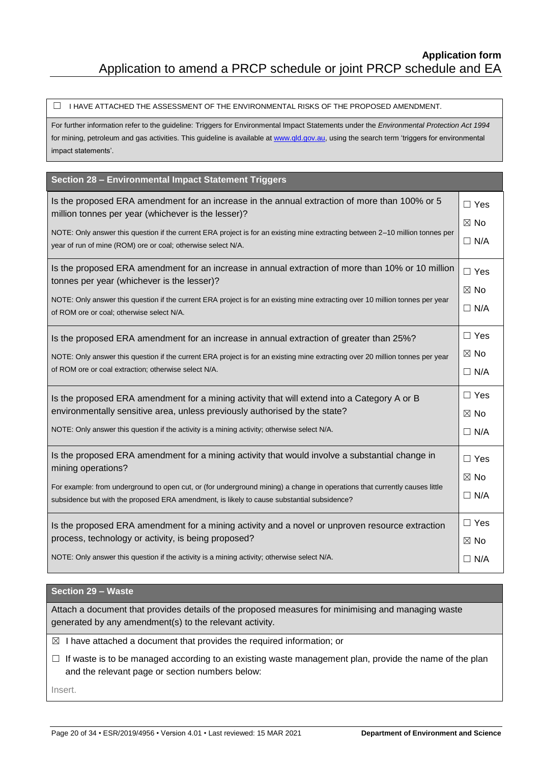$\Box$  I HAVE ATTACHED THE ASSESSMENT OF THE ENVIRONMENTAL RISKS OF THE PROPOSED AMENDMENT.

For further information refer to the guideline: Triggers for Environmental Impact Statements under the *Environmental Protection Act 1994* for mining, petroleum and gas activities. This guideline is available at [www.qld.gov.au,](http://www.qld.gov.au/) using the search term 'triggers for environmental impact statements'.

| Section 28 - Environmental Impact Statement Triggers                                                                                                                                                                                                                                                                                             |                                            |
|--------------------------------------------------------------------------------------------------------------------------------------------------------------------------------------------------------------------------------------------------------------------------------------------------------------------------------------------------|--------------------------------------------|
| Is the proposed ERA amendment for an increase in the annual extraction of more than 100% or 5<br>million tonnes per year (whichever is the lesser)?                                                                                                                                                                                              | $\Box$ Yes                                 |
| NOTE: Only answer this question if the current ERA project is for an existing mine extracting between 2-10 million tonnes per                                                                                                                                                                                                                    | $\boxtimes$ No                             |
| year of run of mine (ROM) ore or coal; otherwise select N/A.                                                                                                                                                                                                                                                                                     | $\Box$ N/A                                 |
| Is the proposed ERA amendment for an increase in annual extraction of more than 10% or 10 million<br>tonnes per year (whichever is the lesser)?<br>NOTE: Only answer this question if the current ERA project is for an existing mine extracting over 10 million tonnes per year<br>of ROM ore or coal; otherwise select N/A.                    | $\Box$ Yes<br>$\boxtimes$ No<br>$\Box$ N/A |
| Is the proposed ERA amendment for an increase in annual extraction of greater than 25%?                                                                                                                                                                                                                                                          | $\Box$ Yes                                 |
| NOTE: Only answer this question if the current ERA project is for an existing mine extracting over 20 million tonnes per year                                                                                                                                                                                                                    | $\boxtimes$ No                             |
| of ROM ore or coal extraction; otherwise select N/A.                                                                                                                                                                                                                                                                                             | $\Box$ N/A                                 |
| Is the proposed ERA amendment for a mining activity that will extend into a Category A or B                                                                                                                                                                                                                                                      | $\Box$ Yes                                 |
| environmentally sensitive area, unless previously authorised by the state?                                                                                                                                                                                                                                                                       | $\boxtimes$ No                             |
| NOTE: Only answer this question if the activity is a mining activity; otherwise select N/A.                                                                                                                                                                                                                                                      | $\Box$ N/A                                 |
| Is the proposed ERA amendment for a mining activity that would involve a substantial change in<br>mining operations?<br>For example: from underground to open cut, or (for underground mining) a change in operations that currently causes little<br>subsidence but with the proposed ERA amendment, is likely to cause substantial subsidence? | $\Box$ Yes<br>$\boxtimes$ No<br>$\Box$ N/A |
| Is the proposed ERA amendment for a mining activity and a novel or unproven resource extraction                                                                                                                                                                                                                                                  | $\Box$ Yes                                 |
| process, technology or activity, is being proposed?                                                                                                                                                                                                                                                                                              | $\boxtimes$ No                             |
| NOTE: Only answer this question if the activity is a mining activity; otherwise select N/A.                                                                                                                                                                                                                                                      | $\Box$ N/A                                 |

#### **Section 29 – Waste**

Attach a document that provides details of the proposed measures for minimising and managing waste generated by any amendment(s) to the relevant activity.

 $\boxtimes$  I have attached a document that provides the required information; or

 $\Box$  If waste is to be managed according to an existing waste management plan, provide the name of the plan and the relevant page or section numbers below:

Insert.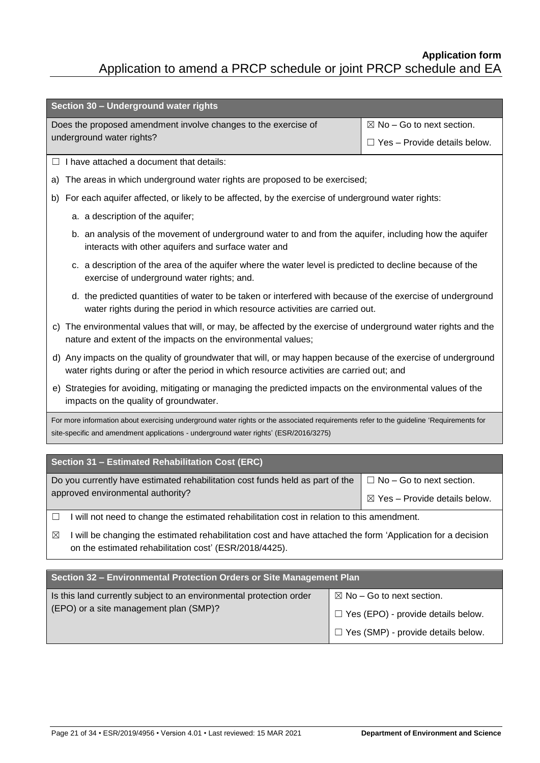| Section 30 - Underground water rights                                                                                                                                                                                          |                                          |  |
|--------------------------------------------------------------------------------------------------------------------------------------------------------------------------------------------------------------------------------|------------------------------------------|--|
| Does the proposed amendment involve changes to the exercise of                                                                                                                                                                 | $\boxtimes$ No – Go to next section.     |  |
| underground water rights?                                                                                                                                                                                                      | $\Box$ Yes - Provide details below.      |  |
| I have attached a document that details:<br>ш                                                                                                                                                                                  |                                          |  |
| The areas in which underground water rights are proposed to be exercised;<br>a)                                                                                                                                                |                                          |  |
| For each aquifer affected, or likely to be affected, by the exercise of underground water rights:<br>b)                                                                                                                        |                                          |  |
| a. a description of the aquifer;                                                                                                                                                                                               |                                          |  |
| b. an analysis of the movement of underground water to and from the aquifer, including how the aquifer<br>interacts with other aquifers and surface water and                                                                  |                                          |  |
| c. a description of the area of the aquifer where the water level is predicted to decline because of the<br>exercise of underground water rights; and.                                                                         |                                          |  |
| d. the predicted quantities of water to be taken or interfered with because of the exercise of underground<br>water rights during the period in which resource activities are carried out.                                     |                                          |  |
| c) The environmental values that will, or may, be affected by the exercise of underground water rights and the<br>nature and extent of the impacts on the environmental values;                                                |                                          |  |
| d) Any impacts on the quality of groundwater that will, or may happen because of the exercise of underground<br>water rights during or after the period in which resource activities are carried out; and                      |                                          |  |
| e) Strategies for avoiding, mitigating or managing the predicted impacts on the environmental values of the<br>impacts on the quality of groundwater.                                                                          |                                          |  |
| For more information about exercising underground water rights or the associated requirements refer to the guideline 'Requirements for<br>site-specific and amendment applications - underground water rights' (ESR/2016/3275) |                                          |  |
|                                                                                                                                                                                                                                |                                          |  |
| Section 31 - Estimated Rehabilitation Cost (ERC)                                                                                                                                                                               |                                          |  |
| Do you currently have estimated rehabilitation cost funds held as part of the                                                                                                                                                  | $\Box$ No – Go to next section.          |  |
| approved environmental authority?                                                                                                                                                                                              | $\boxtimes$ Yes - Provide details below. |  |

☐ I will not need to change the estimated rehabilitation cost in relation to this amendment.

☒ I will be changing the estimated rehabilitation cost and have attached the form 'Application for a decision on the estimated rehabilitation cost' (ESR/2018/4425).

| Section 32 - Environmental Protection Orders or Site Management Plan |                                           |  |
|----------------------------------------------------------------------|-------------------------------------------|--|
| Is this land currently subject to an environmental protection order  | $\boxtimes$ No – Go to next section.      |  |
| (EPO) or a site management plan (SMP)?                               | $\Box$ Yes (EPO) - provide details below. |  |
|                                                                      | $\Box$ Yes (SMP) - provide details below. |  |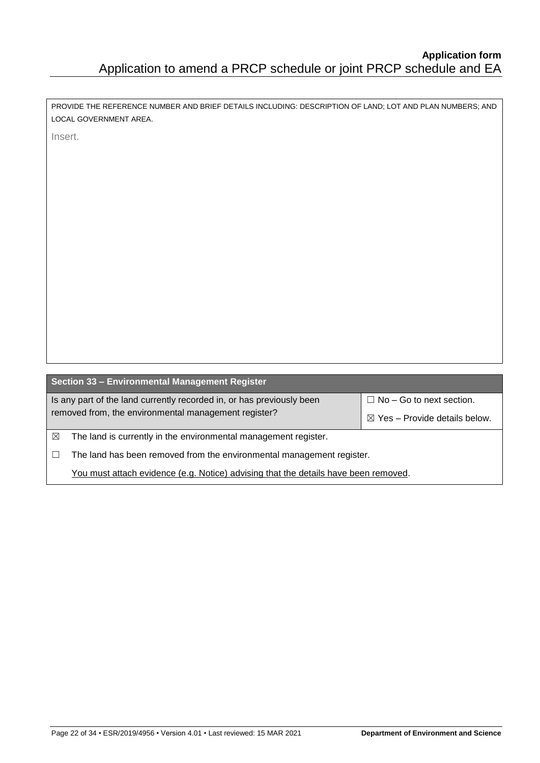| PROVIDE THE REFERENCE NUMBER AND BRIEF DETAILS INCLUDING: DESCRIPTION OF LAND; LOT AND PLAN NUMBERS; AND |                                          |
|----------------------------------------------------------------------------------------------------------|------------------------------------------|
| LOCAL GOVERNMENT AREA.                                                                                   |                                          |
| Insert.                                                                                                  |                                          |
|                                                                                                          |                                          |
|                                                                                                          |                                          |
|                                                                                                          |                                          |
|                                                                                                          |                                          |
|                                                                                                          |                                          |
|                                                                                                          |                                          |
|                                                                                                          |                                          |
|                                                                                                          |                                          |
|                                                                                                          |                                          |
|                                                                                                          |                                          |
|                                                                                                          |                                          |
|                                                                                                          |                                          |
|                                                                                                          |                                          |
|                                                                                                          |                                          |
|                                                                                                          |                                          |
|                                                                                                          |                                          |
| Section 33 - Environmental Management Register                                                           |                                          |
| Is any part of the land currently recorded in, or has previously been                                    | $\Box$ No - Go to next section.          |
| removed from, the environmental management register?                                                     | $\boxtimes$ Yes - Provide details below. |
| The land is currently in the environmental management register.<br>$\boxtimes$                           |                                          |
| The land has been removed from the environmental management register.<br>$\Box$                          |                                          |
| You must attach evidence (e.g. Notice) advising that the details have been removed.                      |                                          |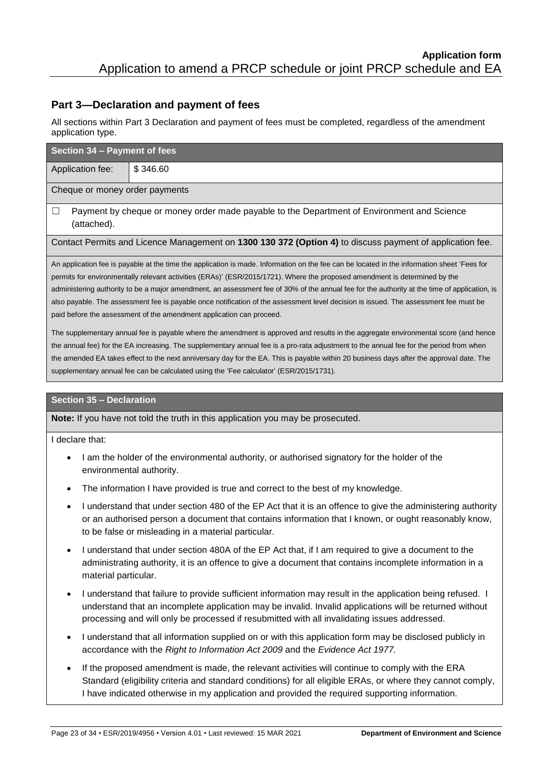## **Part 3—Declaration and payment of fees**

All sections within Part 3 Declaration and payment of fees must be completed, regardless of the amendment application type.

| Section 34 - Payment of fees   |                                                                                                                                                                                                                                                                                                                                                                                                                                                                                                                                                                                                                                           |
|--------------------------------|-------------------------------------------------------------------------------------------------------------------------------------------------------------------------------------------------------------------------------------------------------------------------------------------------------------------------------------------------------------------------------------------------------------------------------------------------------------------------------------------------------------------------------------------------------------------------------------------------------------------------------------------|
| Application fee:               | \$346.60                                                                                                                                                                                                                                                                                                                                                                                                                                                                                                                                                                                                                                  |
| Cheque or money order payments |                                                                                                                                                                                                                                                                                                                                                                                                                                                                                                                                                                                                                                           |
| □<br>(attached).               | Payment by cheque or money order made payable to the Department of Environment and Science                                                                                                                                                                                                                                                                                                                                                                                                                                                                                                                                                |
|                                | Contact Permits and Licence Management on 1300 130 372 (Option 4) to discuss payment of application fee.                                                                                                                                                                                                                                                                                                                                                                                                                                                                                                                                  |
|                                | An application fee is payable at the time the application is made. Information on the fee can be located in the information sheet 'Fees for<br>permits for environmentally relevant activities (ERAs)' (ESR/2015/1721). Where the proposed amendment is determined by the<br>administering authority to be a major amendment, an assessment fee of 30% of the annual fee for the authority at the time of application, is<br>also payable. The assessment fee is payable once notification of the assessment level decision is issued. The assessment fee must be<br>paid before the assessment of the amendment application can proceed. |
|                                | The supplementary annual fee is payable where the amendment is approved and results in the aggregate environmental score (and hence<br>the annual fee) for the EA increasing. The supplementary annual fee is a pro-rata adjustment to the annual fee for the period from when                                                                                                                                                                                                                                                                                                                                                            |

the amended EA takes effect to the next anniversary day for the EA. This is payable within 20 business days after the approval date. The

**Section 35 – Declaration**

**Note:** If you have not told the truth in this application you may be prosecuted.

supplementary annual fee can be calculated using the 'Fee calculator' (ESR/2015/1731).

I declare that:

- I am the holder of the environmental authority, or authorised signatory for the holder of the environmental authority.
- The information I have provided is true and correct to the best of my knowledge.
- I understand that under section 480 of the EP Act that it is an offence to give the administering authority or an authorised person a document that contains information that I known, or ought reasonably know, to be false or misleading in a material particular.
- I understand that under section 480A of the EP Act that, if I am required to give a document to the administrating authority, it is an offence to give a document that contains incomplete information in a material particular.
- I understand that failure to provide sufficient information may result in the application being refused. I understand that an incomplete application may be invalid. Invalid applications will be returned without processing and will only be processed if resubmitted with all invalidating issues addressed.
- I understand that all information supplied on or with this application form may be disclosed publicly in accordance with the *Right to Information Act 2009* and the *Evidence Act 1977.*
- If the proposed amendment is made, the relevant activities will continue to comply with the ERA Standard (eligibility criteria and standard conditions) for all eligible ERAs, or where they cannot comply, I have indicated otherwise in my application and provided the required supporting information.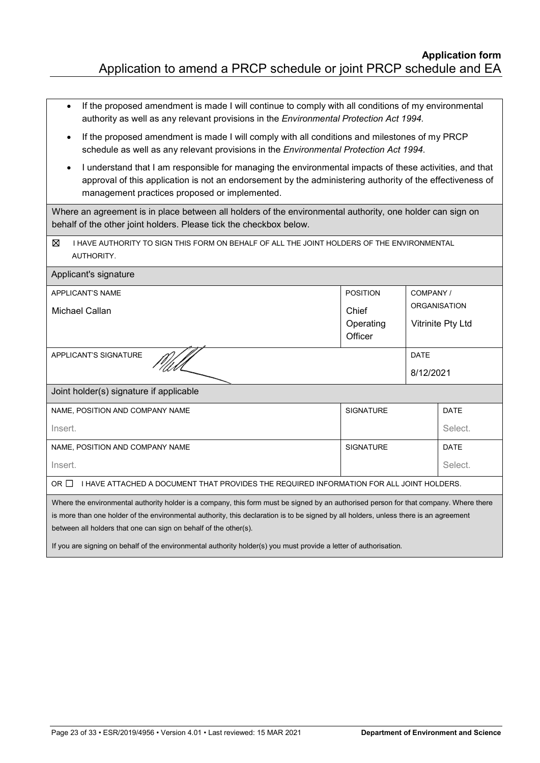| If the proposed amendment is made I will continue to comply with all conditions of my environmental<br>authority as well as any relevant provisions in the Environmental Protection Act 1994.                                                                                                                                                                                                                                                                           |                                                                                                           |         |             |
|-------------------------------------------------------------------------------------------------------------------------------------------------------------------------------------------------------------------------------------------------------------------------------------------------------------------------------------------------------------------------------------------------------------------------------------------------------------------------|-----------------------------------------------------------------------------------------------------------|---------|-------------|
| If the proposed amendment is made I will comply with all conditions and milestones of my PRCP<br>$\bullet$<br>schedule as well as any relevant provisions in the Environmental Protection Act 1994.                                                                                                                                                                                                                                                                     |                                                                                                           |         |             |
| I understand that I am responsible for managing the environmental impacts of these activities, and that<br>$\bullet$<br>approval of this application is not an endorsement by the administering authority of the effectiveness of<br>management practices proposed or implemented.                                                                                                                                                                                      |                                                                                                           |         |             |
| Where an agreement is in place between all holders of the environmental authority, one holder can sign on<br>behalf of the other joint holders. Please tick the checkbox below.                                                                                                                                                                                                                                                                                         |                                                                                                           |         |             |
| Ø<br>I HAVE AUTHORITY TO SIGN THIS FORM ON BEHALF OF ALL THE JOINT HOLDERS OF THE ENVIRONMENTAL<br>AUTHORITY.                                                                                                                                                                                                                                                                                                                                                           |                                                                                                           |         |             |
| Applicant's signature                                                                                                                                                                                                                                                                                                                                                                                                                                                   |                                                                                                           |         |             |
| <b>APPLICANT'S NAME</b><br>Michael Callan                                                                                                                                                                                                                                                                                                                                                                                                                               | <b>POSITION</b><br>COMPANY /<br><b>ORGANISATION</b><br>Chief<br>Operating<br>Vitrinite Pty Ltd<br>Officer |         |             |
| <b>APPLICANT'S SIGNATURE</b><br><b>DATE</b><br>8/12/2021                                                                                                                                                                                                                                                                                                                                                                                                                |                                                                                                           |         |             |
| Joint holder(s) signature if applicable                                                                                                                                                                                                                                                                                                                                                                                                                                 |                                                                                                           |         |             |
| NAME, POSITION AND COMPANY NAME                                                                                                                                                                                                                                                                                                                                                                                                                                         | SIGNATURE<br><b>DATE</b>                                                                                  |         |             |
| Insert.                                                                                                                                                                                                                                                                                                                                                                                                                                                                 | Select.                                                                                                   |         |             |
| NAME, POSITION AND COMPANY NAME                                                                                                                                                                                                                                                                                                                                                                                                                                         | <b>SIGNATURE</b>                                                                                          |         | <b>DATE</b> |
| Insert.                                                                                                                                                                                                                                                                                                                                                                                                                                                                 |                                                                                                           | Select. |             |
| OR □<br>I HAVE ATTACHED A DOCUMENT THAT PROVIDES THE REQUIRED INFORMATION FOR ALL JOINT HOLDERS.                                                                                                                                                                                                                                                                                                                                                                        |                                                                                                           |         |             |
| Where the environmental authority holder is a company, this form must be signed by an authorised person for that company. Where there<br>is more than one holder of the environmental authority, this declaration is to be signed by all holders, unless there is an agreement<br>between all holders that one can sign on behalf of the other(s).<br>If you are signing on behalf of the environmental authority holder(s) you must provide a letter of authorisation. |                                                                                                           |         |             |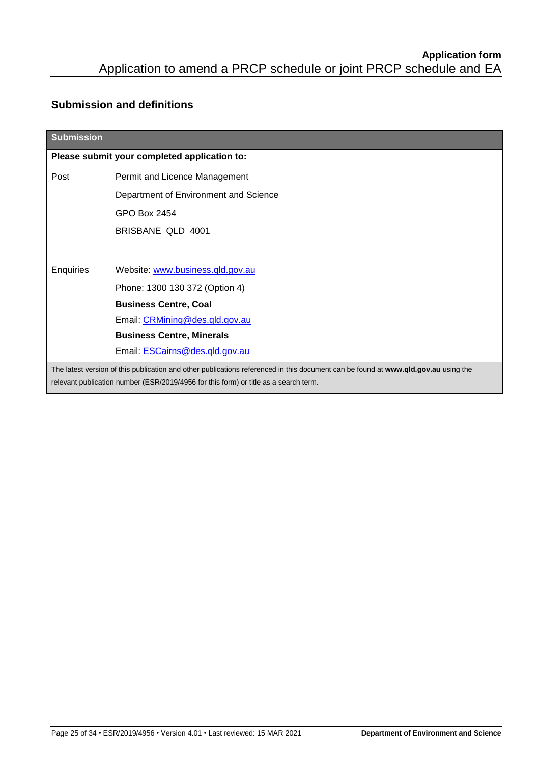# **Submission and definitions**

| <b>Submission</b> |                                                                                                                                                                                                                            |
|-------------------|----------------------------------------------------------------------------------------------------------------------------------------------------------------------------------------------------------------------------|
|                   | Please submit your completed application to:                                                                                                                                                                               |
| Post              | Permit and Licence Management                                                                                                                                                                                              |
|                   | Department of Environment and Science                                                                                                                                                                                      |
|                   | GPO Box 2454                                                                                                                                                                                                               |
|                   | BRISBANE QLD 4001                                                                                                                                                                                                          |
|                   |                                                                                                                                                                                                                            |
| <b>Enquiries</b>  | Website: www.business.gld.gov.au                                                                                                                                                                                           |
|                   | Phone: 1300 130 372 (Option 4)                                                                                                                                                                                             |
|                   | <b>Business Centre, Coal</b>                                                                                                                                                                                               |
|                   | Email: CRMining@des.qld.gov.au                                                                                                                                                                                             |
|                   | <b>Business Centre, Minerals</b>                                                                                                                                                                                           |
|                   | Email: ESCairns@des.qld.gov.au                                                                                                                                                                                             |
|                   | The latest version of this publication and other publications referenced in this document can be found at www.qld.gov.au using the<br>relevant publication number (ESR/2019/4956 for this form) or title as a search term. |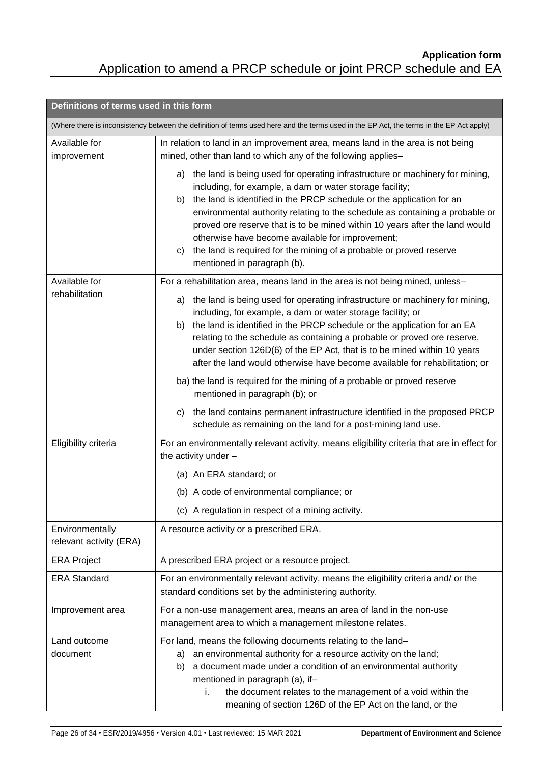| Definitions of terms used in this form                                                                                                   |                                                                                                                                                                                                                                                                                                                                                                                                                                                                                                                                                           |  |  |
|------------------------------------------------------------------------------------------------------------------------------------------|-----------------------------------------------------------------------------------------------------------------------------------------------------------------------------------------------------------------------------------------------------------------------------------------------------------------------------------------------------------------------------------------------------------------------------------------------------------------------------------------------------------------------------------------------------------|--|--|
| (Where there is inconsistency between the definition of terms used here and the terms used in the EP Act, the terms in the EP Act apply) |                                                                                                                                                                                                                                                                                                                                                                                                                                                                                                                                                           |  |  |
| Available for<br>improvement                                                                                                             | In relation to land in an improvement area, means land in the area is not being<br>mined, other than land to which any of the following applies-                                                                                                                                                                                                                                                                                                                                                                                                          |  |  |
|                                                                                                                                          | a) the land is being used for operating infrastructure or machinery for mining,<br>including, for example, a dam or water storage facility;<br>the land is identified in the PRCP schedule or the application for an<br>b)<br>environmental authority relating to the schedule as containing a probable or<br>proved ore reserve that is to be mined within 10 years after the land would<br>otherwise have become available for improvement;<br>the land is required for the mining of a probable or proved reserve<br>C)<br>mentioned in paragraph (b). |  |  |
| Available for                                                                                                                            | For a rehabilitation area, means land in the area is not being mined, unless-                                                                                                                                                                                                                                                                                                                                                                                                                                                                             |  |  |
| rehabilitation                                                                                                                           | the land is being used for operating infrastructure or machinery for mining,<br>a)<br>including, for example, a dam or water storage facility; or<br>the land is identified in the PRCP schedule or the application for an EA<br>b)<br>relating to the schedule as containing a probable or proved ore reserve,<br>under section 126D(6) of the EP Act, that is to be mined within 10 years<br>after the land would otherwise have become available for rehabilitation; or                                                                                |  |  |
|                                                                                                                                          | ba) the land is required for the mining of a probable or proved reserve<br>mentioned in paragraph (b); or                                                                                                                                                                                                                                                                                                                                                                                                                                                 |  |  |
|                                                                                                                                          | the land contains permanent infrastructure identified in the proposed PRCP<br>C)<br>schedule as remaining on the land for a post-mining land use.                                                                                                                                                                                                                                                                                                                                                                                                         |  |  |
| Eligibility criteria                                                                                                                     | For an environmentally relevant activity, means eligibility criteria that are in effect for<br>the activity under -                                                                                                                                                                                                                                                                                                                                                                                                                                       |  |  |
|                                                                                                                                          | (a) An ERA standard; or                                                                                                                                                                                                                                                                                                                                                                                                                                                                                                                                   |  |  |
|                                                                                                                                          | (b) A code of environmental compliance; or                                                                                                                                                                                                                                                                                                                                                                                                                                                                                                                |  |  |
|                                                                                                                                          | (c) A regulation in respect of a mining activity.                                                                                                                                                                                                                                                                                                                                                                                                                                                                                                         |  |  |
| Environmentally<br>relevant activity (ERA)                                                                                               | A resource activity or a prescribed ERA.                                                                                                                                                                                                                                                                                                                                                                                                                                                                                                                  |  |  |
| <b>ERA Project</b>                                                                                                                       | A prescribed ERA project or a resource project.                                                                                                                                                                                                                                                                                                                                                                                                                                                                                                           |  |  |
| <b>ERA Standard</b>                                                                                                                      | For an environmentally relevant activity, means the eligibility criteria and/ or the<br>standard conditions set by the administering authority.                                                                                                                                                                                                                                                                                                                                                                                                           |  |  |
| Improvement area                                                                                                                         | For a non-use management area, means an area of land in the non-use<br>management area to which a management milestone relates.                                                                                                                                                                                                                                                                                                                                                                                                                           |  |  |
| Land outcome<br>document                                                                                                                 | For land, means the following documents relating to the land-<br>an environmental authority for a resource activity on the land;<br>a)<br>a document made under a condition of an environmental authority<br>b)<br>mentioned in paragraph (a), if-<br>the document relates to the management of a void within the<br>i.<br>meaning of section 126D of the EP Act on the land, or the                                                                                                                                                                      |  |  |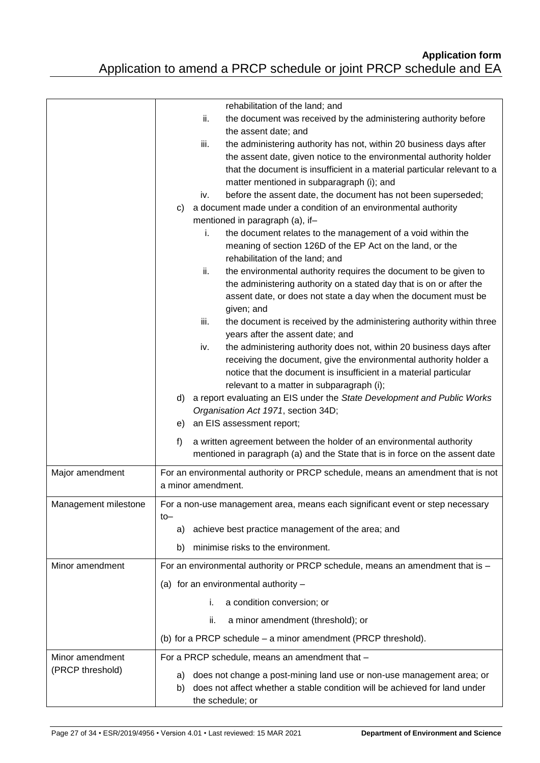|                      | rehabilitation of the land; and<br>ii.<br>the document was received by the administering authority before                                                                           |
|----------------------|-------------------------------------------------------------------------------------------------------------------------------------------------------------------------------------|
|                      | the assent date; and<br>iii.<br>the administering authority has not, within 20 business days after                                                                                  |
|                      | the assent date, given notice to the environmental authority holder<br>that the document is insufficient in a material particular relevant to a                                     |
|                      | matter mentioned in subparagraph (i); and<br>before the assent date, the document has not been superseded;<br>iv.                                                                   |
|                      | a document made under a condition of an environmental authority<br>C)                                                                                                               |
|                      | mentioned in paragraph (a), if-<br>the document relates to the management of a void within the<br>i.                                                                                |
|                      | meaning of section 126D of the EP Act on the land, or the<br>rehabilitation of the land; and                                                                                        |
|                      | ii.<br>the environmental authority requires the document to be given to                                                                                                             |
|                      | the administering authority on a stated day that is on or after the<br>assent date, or does not state a day when the document must be                                               |
|                      | given; and<br>iii.<br>the document is received by the administering authority within three<br>years after the assent date; and                                                      |
|                      | iv.<br>the administering authority does not, within 20 business days after                                                                                                          |
|                      | receiving the document, give the environmental authority holder a                                                                                                                   |
|                      | notice that the document is insufficient in a material particular<br>relevant to a matter in subparagraph (i);                                                                      |
|                      | a report evaluating an EIS under the State Development and Public Works<br>d)                                                                                                       |
|                      | Organisation Act 1971, section 34D;<br>an EIS assessment report;<br>e)                                                                                                              |
|                      | f)<br>a written agreement between the holder of an environmental authority                                                                                                          |
|                      | mentioned in paragraph (a) and the State that is in force on the assent date                                                                                                        |
| Major amendment      | For an environmental authority or PRCP schedule, means an amendment that is not<br>a minor amendment.                                                                               |
| Management milestone | For a non-use management area, means each significant event or step necessary<br>to-                                                                                                |
|                      | achieve best practice management of the area; and<br>a)                                                                                                                             |
|                      | minimise risks to the environment.<br>b)                                                                                                                                            |
| Minor amendment      | For an environmental authority or PRCP schedule, means an amendment that is -                                                                                                       |
|                      | (a) for an environmental authority -                                                                                                                                                |
|                      | a condition conversion; or<br>i.                                                                                                                                                    |
|                      | a minor amendment (threshold); or<br>ii.                                                                                                                                            |
|                      | (b) for a PRCP schedule – a minor amendment (PRCP threshold).                                                                                                                       |
| Minor amendment      | For a PRCP schedule, means an amendment that -                                                                                                                                      |
| (PRCP threshold)     | does not change a post-mining land use or non-use management area; or<br>a)<br>does not affect whether a stable condition will be achieved for land under<br>b)<br>the schedule; or |
|                      |                                                                                                                                                                                     |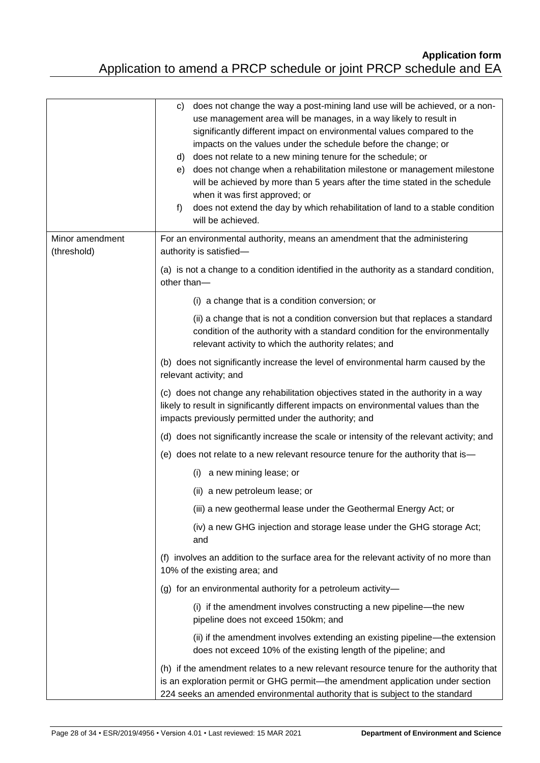|                                | does not change the way a post-mining land use will be achieved, or a non-<br>C)<br>use management area will be manages, in a way likely to result in<br>significantly different impact on environmental values compared to the<br>impacts on the values under the schedule before the change; or<br>does not relate to a new mining tenure for the schedule; or<br>d)<br>does not change when a rehabilitation milestone or management milestone<br>e)<br>will be achieved by more than 5 years after the time stated in the schedule<br>when it was first approved; or<br>does not extend the day by which rehabilitation of land to a stable condition<br>f)<br>will be achieved. |
|--------------------------------|--------------------------------------------------------------------------------------------------------------------------------------------------------------------------------------------------------------------------------------------------------------------------------------------------------------------------------------------------------------------------------------------------------------------------------------------------------------------------------------------------------------------------------------------------------------------------------------------------------------------------------------------------------------------------------------|
| Minor amendment<br>(threshold) | For an environmental authority, means an amendment that the administering<br>authority is satisfied-                                                                                                                                                                                                                                                                                                                                                                                                                                                                                                                                                                                 |
|                                | (a) is not a change to a condition identified in the authority as a standard condition,<br>other than-                                                                                                                                                                                                                                                                                                                                                                                                                                                                                                                                                                               |
|                                | (i) a change that is a condition conversion; or                                                                                                                                                                                                                                                                                                                                                                                                                                                                                                                                                                                                                                      |
|                                | (ii) a change that is not a condition conversion but that replaces a standard<br>condition of the authority with a standard condition for the environmentally<br>relevant activity to which the authority relates; and                                                                                                                                                                                                                                                                                                                                                                                                                                                               |
|                                | (b) does not significantly increase the level of environmental harm caused by the<br>relevant activity; and                                                                                                                                                                                                                                                                                                                                                                                                                                                                                                                                                                          |
|                                | (c) does not change any rehabilitation objectives stated in the authority in a way<br>likely to result in significantly different impacts on environmental values than the<br>impacts previously permitted under the authority; and                                                                                                                                                                                                                                                                                                                                                                                                                                                  |
|                                | (d) does not significantly increase the scale or intensity of the relevant activity; and                                                                                                                                                                                                                                                                                                                                                                                                                                                                                                                                                                                             |
|                                | (e) does not relate to a new relevant resource tenure for the authority that is-                                                                                                                                                                                                                                                                                                                                                                                                                                                                                                                                                                                                     |
|                                | a new mining lease; or<br>(i)                                                                                                                                                                                                                                                                                                                                                                                                                                                                                                                                                                                                                                                        |
|                                | (ii) a new petroleum lease; or                                                                                                                                                                                                                                                                                                                                                                                                                                                                                                                                                                                                                                                       |
|                                | (iii) a new geothermal lease under the Geothermal Energy Act; or                                                                                                                                                                                                                                                                                                                                                                                                                                                                                                                                                                                                                     |
|                                | (iv) a new GHG injection and storage lease under the GHG storage Act;<br>and                                                                                                                                                                                                                                                                                                                                                                                                                                                                                                                                                                                                         |
|                                | (f) involves an addition to the surface area for the relevant activity of no more than<br>10% of the existing area; and                                                                                                                                                                                                                                                                                                                                                                                                                                                                                                                                                              |
|                                | (g) for an environmental authority for a petroleum activity-                                                                                                                                                                                                                                                                                                                                                                                                                                                                                                                                                                                                                         |
|                                | (i) if the amendment involves constructing a new pipeline—the new<br>pipeline does not exceed 150km; and                                                                                                                                                                                                                                                                                                                                                                                                                                                                                                                                                                             |
|                                | (ii) if the amendment involves extending an existing pipeline-the extension<br>does not exceed 10% of the existing length of the pipeline; and                                                                                                                                                                                                                                                                                                                                                                                                                                                                                                                                       |
|                                | (h) if the amendment relates to a new relevant resource tenure for the authority that<br>is an exploration permit or GHG permit—the amendment application under section<br>224 seeks an amended environmental authority that is subject to the standard                                                                                                                                                                                                                                                                                                                                                                                                                              |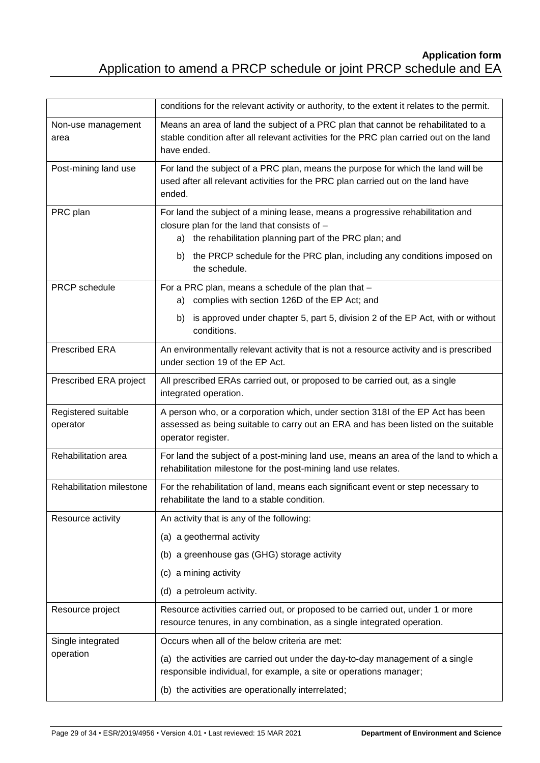|                                 | conditions for the relevant activity or authority, to the extent it relates to the permit.                                                                                                  |  |  |  |  |
|---------------------------------|---------------------------------------------------------------------------------------------------------------------------------------------------------------------------------------------|--|--|--|--|
| Non-use management<br>area      | Means an area of land the subject of a PRC plan that cannot be rehabilitated to a<br>stable condition after all relevant activities for the PRC plan carried out on the land<br>have ended. |  |  |  |  |
| Post-mining land use            | For land the subject of a PRC plan, means the purpose for which the land will be<br>used after all relevant activities for the PRC plan carried out on the land have<br>ended.              |  |  |  |  |
| PRC plan                        | For land the subject of a mining lease, means a progressive rehabilitation and<br>closure plan for the land that consists of -<br>a) the rehabilitation planning part of the PRC plan; and  |  |  |  |  |
|                                 | the PRCP schedule for the PRC plan, including any conditions imposed on<br>b)<br>the schedule.                                                                                              |  |  |  |  |
| PRCP schedule                   | For a PRC plan, means a schedule of the plan that -<br>complies with section 126D of the EP Act; and<br>a)                                                                                  |  |  |  |  |
|                                 | is approved under chapter 5, part 5, division 2 of the EP Act, with or without<br>b)<br>conditions.                                                                                         |  |  |  |  |
| <b>Prescribed ERA</b>           | An environmentally relevant activity that is not a resource activity and is prescribed<br>under section 19 of the EP Act.                                                                   |  |  |  |  |
| Prescribed ERA project          | All prescribed ERAs carried out, or proposed to be carried out, as a single<br>integrated operation.                                                                                        |  |  |  |  |
| Registered suitable<br>operator | A person who, or a corporation which, under section 318I of the EP Act has been<br>assessed as being suitable to carry out an ERA and has been listed on the suitable<br>operator register. |  |  |  |  |
| Rehabilitation area             | For land the subject of a post-mining land use, means an area of the land to which a<br>rehabilitation milestone for the post-mining land use relates.                                      |  |  |  |  |
| Rehabilitation milestone        | For the rehabilitation of land, means each significant event or step necessary to<br>rehabilitate the land to a stable condition.                                                           |  |  |  |  |
| Resource activity               | An activity that is any of the following:                                                                                                                                                   |  |  |  |  |
|                                 | (a) a geothermal activity                                                                                                                                                                   |  |  |  |  |
|                                 | (b) a greenhouse gas (GHG) storage activity                                                                                                                                                 |  |  |  |  |
|                                 | (c) a mining activity                                                                                                                                                                       |  |  |  |  |
|                                 | (d) a petroleum activity.                                                                                                                                                                   |  |  |  |  |
| Resource project                | Resource activities carried out, or proposed to be carried out, under 1 or more<br>resource tenures, in any combination, as a single integrated operation.                                  |  |  |  |  |
| Single integrated               | Occurs when all of the below criteria are met:                                                                                                                                              |  |  |  |  |
| operation                       | (a) the activities are carried out under the day-to-day management of a single<br>responsible individual, for example, a site or operations manager;                                        |  |  |  |  |
|                                 | (b) the activities are operationally interrelated;                                                                                                                                          |  |  |  |  |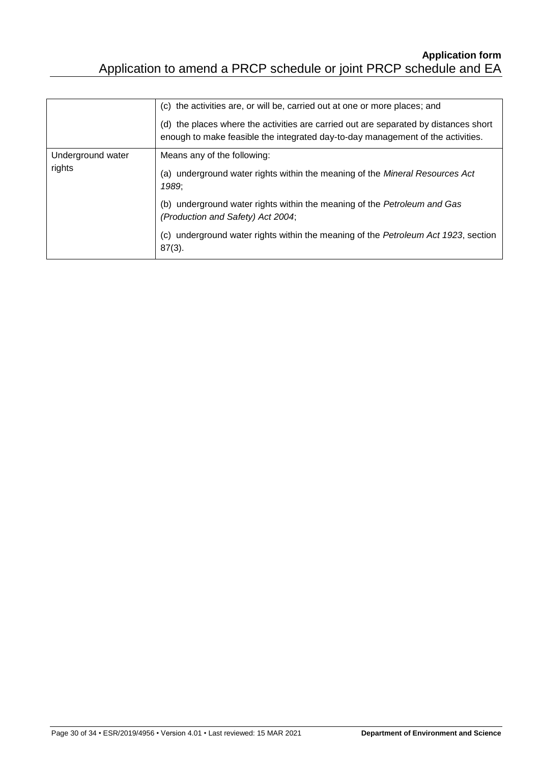|                   | (c) the activities are, or will be, carried out at one or more places; and                                                                                              |  |  |  |
|-------------------|-------------------------------------------------------------------------------------------------------------------------------------------------------------------------|--|--|--|
|                   | (d) the places where the activities are carried out are separated by distances short<br>enough to make feasible the integrated day-to-day management of the activities. |  |  |  |
| Underground water | Means any of the following:                                                                                                                                             |  |  |  |
| rights            | underground water rights within the meaning of the Mineral Resources Act<br>(a)<br>1989;                                                                                |  |  |  |
|                   | underground water rights within the meaning of the Petroleum and Gas<br>(b)<br>(Production and Safety) Act 2004;                                                        |  |  |  |
|                   | underground water rights within the meaning of the Petroleum Act 1923, section<br>(C)<br>$87(3)$ .                                                                      |  |  |  |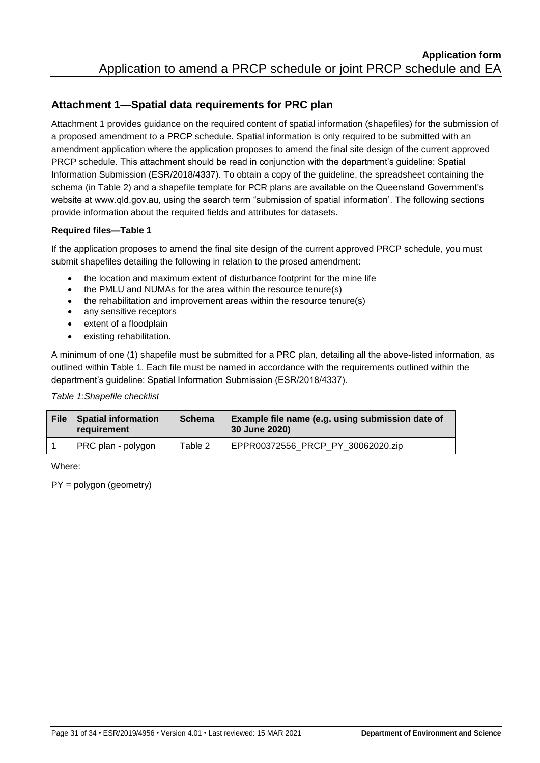## **Attachment 1—Spatial data requirements for PRC plan**

Attachment 1 provides guidance on the required content of spatial information (shapefiles) for the submission of a proposed amendment to a PRCP schedule. Spatial information is only required to be submitted with an amendment application where the application proposes to amend the final site design of the current approved PRCP schedule. This attachment should be read in conjunction with the department's guideline: Spatial Information Submission (ESR/2018/4337). To obtain a copy of the guideline, the spreadsheet containing the schema (in Table 2) and a shapefile template for PCR plans are available on the Queensland Government's website at www.qld.gov.au, using the search term "submission of spatial information'. The following sections provide information about the required fields and attributes for datasets.

#### **Required files—Table 1**

If the application proposes to amend the final site design of the current approved PRCP schedule, you must submit shapefiles detailing the following in relation to the prosed amendment:

- the location and maximum extent of disturbance footprint for the mine life
- the PMLU and NUMAs for the area within the resource tenure(s)
- the rehabilitation and improvement areas within the resource tenure(s)
- any sensitive receptors
- extent of a floodplain
- existing rehabilitation.

A minimum of one (1) shapefile must be submitted for a PRC plan, detailing all the above-listed information, as outlined within Table 1. Each file must be named in accordance with the requirements outlined within the department's guideline: Spatial Information Submission (ESR/2018/4337).

#### *Table 1:Shapefile checklist*

| <b>File</b> | <b>Spatial information</b><br>requirement | <b>Schema</b> | Example file name (e.g. using submission date of<br>30 June 2020) |
|-------------|-------------------------------------------|---------------|-------------------------------------------------------------------|
|             | PRC plan - polygon                        | Table 2       | EPPR00372556_PRCP_PY_30062020.zip                                 |

Where:

PY = polygon (geometry)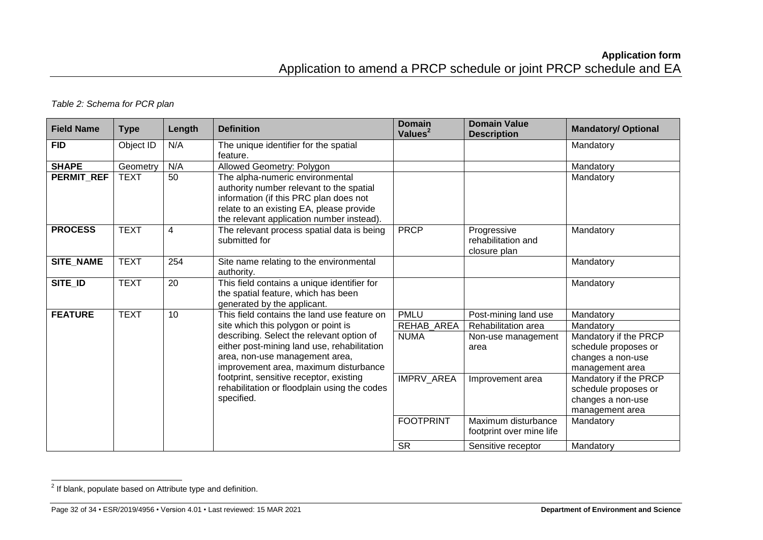## *Table 2: Schema for PCR plan*

| <b>Field Name</b> | <b>Type</b> | Length | <b>Definition</b>                                                                                                                                                                                              | <b>Domain</b><br>Values <sup>2</sup> | <b>Domain Value</b><br><b>Description</b>         | <b>Mandatory/ Optional</b>           |
|-------------------|-------------|--------|----------------------------------------------------------------------------------------------------------------------------------------------------------------------------------------------------------------|--------------------------------------|---------------------------------------------------|--------------------------------------|
| <b>FID</b>        | Object ID   | N/A    | The unique identifier for the spatial<br>feature.                                                                                                                                                              |                                      |                                                   | Mandatory                            |
| <b>SHAPE</b>      | Geometry    | N/A    | Allowed Geometry: Polygon                                                                                                                                                                                      |                                      |                                                   | Mandatory                            |
| PERMIT_REF        | <b>TEXT</b> | 50     | The alpha-numeric environmental<br>authority number relevant to the spatial<br>information (if this PRC plan does not<br>relate to an existing EA, please provide<br>the relevant application number instead). |                                      |                                                   | Mandatory                            |
| <b>PROCESS</b>    | <b>TEXT</b> | 4      | The relevant process spatial data is being<br>submitted for                                                                                                                                                    | <b>PRCP</b>                          | Progressive<br>rehabilitation and<br>closure plan | Mandatory                            |
| SITE_NAME         | <b>TEXT</b> | 254    | Site name relating to the environmental<br>authority.                                                                                                                                                          |                                      |                                                   | Mandatory                            |
| SITE_ID           | <b>TEXT</b> | 20     | This field contains a unique identifier for<br>the spatial feature, which has been<br>generated by the applicant.                                                                                              |                                      |                                                   | Mandatory                            |
| <b>FEATURE</b>    | <b>TEXT</b> | 10     | This field contains the land use feature on                                                                                                                                                                    | <b>PMLU</b>                          | Post-mining land use                              | Mandatory                            |
|                   |             |        | site which this polygon or point is                                                                                                                                                                            | REHAB_AREA                           | Rehabilitation area                               | Mandatory                            |
|                   |             |        | describing. Select the relevant option of                                                                                                                                                                      | <b>NUMA</b>                          | Non-use management                                | Mandatory if the PRCP                |
|                   |             |        | either post-mining land use, rehabilitation                                                                                                                                                                    |                                      | area                                              | schedule proposes or                 |
|                   |             |        | area, non-use management area,                                                                                                                                                                                 |                                      |                                                   | changes a non-use                    |
|                   |             |        | improvement area, maximum disturbance                                                                                                                                                                          |                                      |                                                   | management area                      |
|                   |             |        | footprint, sensitive receptor, existing                                                                                                                                                                        | IMPRV_AREA                           | Improvement area                                  | Mandatory if the PRCP                |
|                   |             |        | rehabilitation or floodplain using the codes<br>specified.                                                                                                                                                     |                                      |                                                   | schedule proposes or                 |
|                   |             |        |                                                                                                                                                                                                                |                                      |                                                   | changes a non-use<br>management area |
|                   |             |        |                                                                                                                                                                                                                | <b>FOOTPRINT</b>                     | Maximum disturbance                               | Mandatory                            |
|                   |             |        |                                                                                                                                                                                                                |                                      | footprint over mine life                          |                                      |
|                   |             |        |                                                                                                                                                                                                                | <b>SR</b>                            | Sensitive receptor                                | Mandatory                            |

 $2$  If blank, populate based on Attribute type and definition.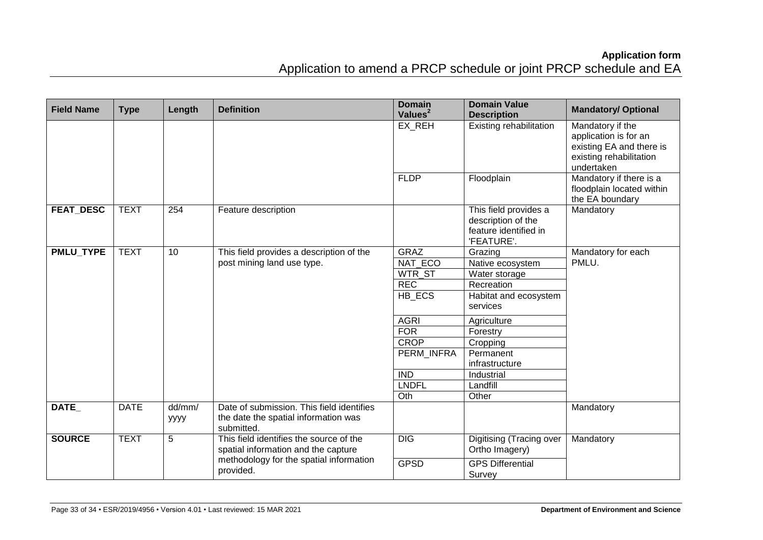| <b>Field Name</b> | <b>Type</b> | Length         | <b>Definition</b>                                                              | <b>Domain</b><br>Values <sup>2</sup> | <b>Domain Value</b><br><b>Description</b>                                          | <b>Mandatory/ Optional</b>                                                                                     |
|-------------------|-------------|----------------|--------------------------------------------------------------------------------|--------------------------------------|------------------------------------------------------------------------------------|----------------------------------------------------------------------------------------------------------------|
|                   |             |                |                                                                                | EX REH                               | <b>Existing rehabilitation</b>                                                     | Mandatory if the<br>application is for an<br>existing EA and there is<br>existing rehabilitation<br>undertaken |
|                   |             |                |                                                                                | <b>FLDP</b>                          | Floodplain                                                                         | Mandatory if there is a<br>floodplain located within<br>the EA boundary                                        |
| <b>FEAT DESC</b>  | <b>TEXT</b> | 254            | Feature description                                                            |                                      | This field provides a<br>description of the<br>feature identified in<br>'FEATURE'. | Mandatory                                                                                                      |
| <b>PMLU_TYPE</b>  | <b>TEXT</b> | 10             | This field provides a description of the                                       | <b>GRAZ</b>                          | Grazing                                                                            | Mandatory for each                                                                                             |
|                   |             |                | post mining land use type.                                                     | NAT ECO                              | Native ecosystem                                                                   | PMLU.                                                                                                          |
|                   |             |                |                                                                                | WTR_ST                               | Water storage                                                                      |                                                                                                                |
|                   |             |                |                                                                                | <b>REC</b>                           | Recreation                                                                         |                                                                                                                |
|                   |             |                |                                                                                | HB_ECS                               | Habitat and ecosystem<br>services                                                  |                                                                                                                |
|                   |             |                |                                                                                | <b>AGRI</b>                          | Agriculture                                                                        |                                                                                                                |
|                   |             |                |                                                                                | <b>FOR</b>                           | Forestry                                                                           |                                                                                                                |
|                   |             |                |                                                                                | <b>CROP</b>                          | Cropping                                                                           |                                                                                                                |
|                   |             |                |                                                                                | PERM_INFRA                           | Permanent<br>infrastructure                                                        |                                                                                                                |
|                   |             |                |                                                                                | <b>IND</b>                           | Industrial                                                                         |                                                                                                                |
|                   |             |                |                                                                                | <b>LNDFL</b>                         | Landfill                                                                           |                                                                                                                |
|                   |             |                |                                                                                | Oth                                  | Other                                                                              |                                                                                                                |
| DATE_             | <b>DATE</b> | dd/mm/         | Date of submission. This field identifies                                      |                                      |                                                                                    | Mandatory                                                                                                      |
|                   |             | уууу           | the date the spatial information was<br>submitted.                             |                                      |                                                                                    |                                                                                                                |
| <b>SOURCE</b>     | <b>TEXT</b> | $\overline{5}$ | This field identifies the source of the<br>spatial information and the capture | DIG                                  | Digitising (Tracing over<br>Ortho Imagery)                                         | Mandatory                                                                                                      |
|                   |             |                | methodology for the spatial information<br>provided.                           | <b>GPSD</b>                          | <b>GPS Differential</b><br>Survey                                                  |                                                                                                                |